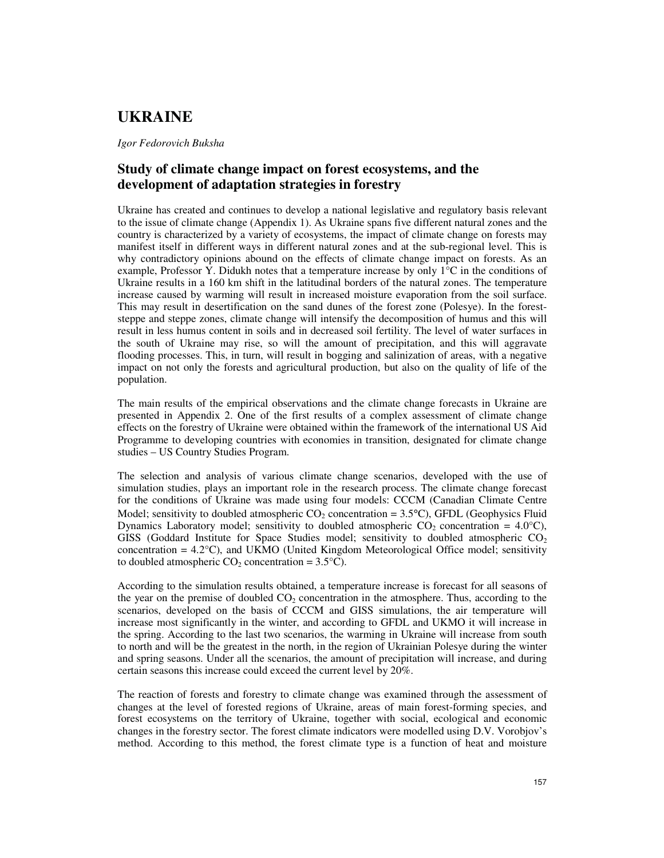# **UKRAINE**

*Igor Fedorovich Buksha* 

## **Study of climate change impact on forest ecosystems, and the development of adaptation strategies in forestry**

Ukraine has created and continues to develop a national legislative and regulatory basis relevant to the issue of climate change (Appendix 1). As Ukraine spans five different natural zones and the country is characterized by a variety of ecosystems, the impact of climate change on forests may manifest itself in different ways in different natural zones and at the sub-regional level. This is why contradictory opinions abound on the effects of climate change impact on forests. As an example, Professor Y. Didukh notes that a temperature increase by only 1°C in the conditions of Ukraine results in a 160 km shift in the latitudinal borders of the natural zones. The temperature increase caused by warming will result in increased moisture evaporation from the soil surface. This may result in desertification on the sand dunes of the forest zone (Polesye). In the foreststeppe and steppe zones, climate change will intensify the decomposition of humus and this will result in less humus content in soils and in decreased soil fertility. The level of water surfaces in the south of Ukraine may rise, so will the amount of precipitation, and this will aggravate flooding processes. This, in turn, will result in bogging and salinization of areas, with a negative impact on not only the forests and agricultural production, but also on the quality of life of the population.

The main results of the empirical observations and the climate change forecasts in Ukraine are presented in Appendix 2. One of the first results of a complex assessment of climate change effects on the forestry of Ukraine were obtained within the framework of the international US Aid Programme to developing countries with economies in transition, designated for climate change studies – US Country Studies Program.

The selection and analysis of various climate change scenarios, developed with the use of simulation studies, plays an important role in the research process. The climate change forecast for the conditions of Ukraine was made using four models: CCCM (Canadian Climate Centre Model; sensitivity to doubled atmospheric  $CO_2$  concentration = 3.5°C), GFDL (Geophysics Fluid Dynamics Laboratory model; sensitivity to doubled atmospheric  $CO_2$  concentration = 4.0°C), GISS (Goddard Institute for Space Studies model; sensitivity to doubled atmospheric  $CO<sub>2</sub>$ concentration = 4.2°C), and UKMO (United Kingdom Meteorological Office model; sensitivity to doubled atmospheric  $CO_2$  concentration = 3.5°C).

According to the simulation results obtained, a temperature increase is forecast for all seasons of the year on the premise of doubled  $CO<sub>2</sub>$  concentration in the atmosphere. Thus, according to the scenarios, developed on the basis of CCCM and GISS simulations, the air temperature will increase most significantly in the winter, and according to GFDL and UKMO it will increase in the spring. According to the last two scenarios, the warming in Ukraine will increase from south to north and will be the greatest in the north, in the region of Ukrainian Polesye during the winter and spring seasons. Under all the scenarios, the amount of precipitation will increase, and during certain seasons this increase could exceed the current level by 20%.

The reaction of forests and forestry to climate change was examined through the assessment of changes at the level of forested regions of Ukraine, areas of main forest-forming species, and forest ecosystems on the territory of Ukraine, together with social, ecological and economic changes in the forestry sector. The forest climate indicators were modelled using D.V. Vorobjov's method. According to this method, the forest climate type is a function of heat and moisture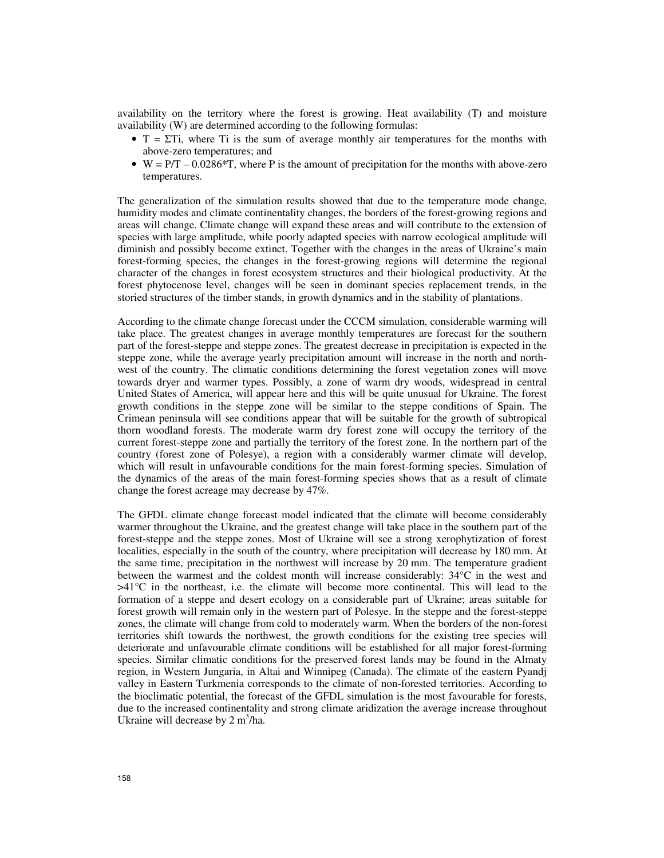availability on the territory where the forest is growing. Heat availability (T) and moisture availability (W) are determined according to the following formulas:

- $T = \Sigma T$ i, where Ti is the sum of average monthly air temperatures for the months with above-zero temperatures; and
- $W = P/T 0.0286*T$ , where P is the amount of precipitation for the months with above-zero temperatures.

The generalization of the simulation results showed that due to the temperature mode change, humidity modes and climate continentality changes, the borders of the forest-growing regions and areas will change. Climate change will expand these areas and will contribute to the extension of species with large amplitude, while poorly adapted species with narrow ecological amplitude will diminish and possibly become extinct. Together with the changes in the areas of Ukraine's main forest-forming species, the changes in the forest-growing regions will determine the regional character of the changes in forest ecosystem structures and their biological productivity. At the forest phytocenose level, changes will be seen in dominant species replacement trends, in the storied structures of the timber stands, in growth dynamics and in the stability of plantations.

According to the climate change forecast under the CCCM simulation, considerable warming will take place. The greatest changes in average monthly temperatures are forecast for the southern part of the forest-steppe and steppe zones. The greatest decrease in precipitation is expected in the steppe zone, while the average yearly precipitation amount will increase in the north and northwest of the country. The climatic conditions determining the forest vegetation zones will move towards dryer and warmer types. Possibly, a zone of warm dry woods, widespread in central United States of America, will appear here and this will be quite unusual for Ukraine. The forest growth conditions in the steppe zone will be similar to the steppe conditions of Spain. The Crimean peninsula will see conditions appear that will be suitable for the growth of subtropical thorn woodland forests. The moderate warm dry forest zone will occupy the territory of the current forest-steppe zone and partially the territory of the forest zone. In the northern part of the country (forest zone of Polesye), a region with a considerably warmer climate will develop, which will result in unfavourable conditions for the main forest-forming species. Simulation of the dynamics of the areas of the main forest-forming species shows that as a result of climate change the forest acreage may decrease by 47%.

The GFDL climate change forecast model indicated that the climate will become considerably warmer throughout the Ukraine, and the greatest change will take place in the southern part of the forest-steppe and the steppe zones. Most of Ukraine will see a strong xerophytization of forest localities, especially in the south of the country, where precipitation will decrease by 180 mm. At the same time, precipitation in the northwest will increase by 20 mm. The temperature gradient between the warmest and the coldest month will increase considerably: 34°C in the west and >41°C in the northeast, i.e. the climate will become more continental. This will lead to the formation of a steppe and desert ecology on a considerable part of Ukraine; areas suitable for forest growth will remain only in the western part of Polesye. In the steppe and the forest-steppe zones, the climate will change from cold to moderately warm. When the borders of the non-forest territories shift towards the northwest, the growth conditions for the existing tree species will deteriorate and unfavourable climate conditions will be established for all major forest-forming species. Similar climatic conditions for the preserved forest lands may be found in the Almaty region, in Western Jungaria, in Altai and Winnipeg (Canada). The climate of the eastern Pyandj valley in Eastern Turkmenia corresponds to the climate of non-forested territories. According to the bioclimatic potential, the forecast of the GFDL simulation is the most favourable for forests, due to the increased continentality and strong climate aridization the average increase throughout Ukraine will decrease by  $2 \text{ m}^3/\text{ha}$ .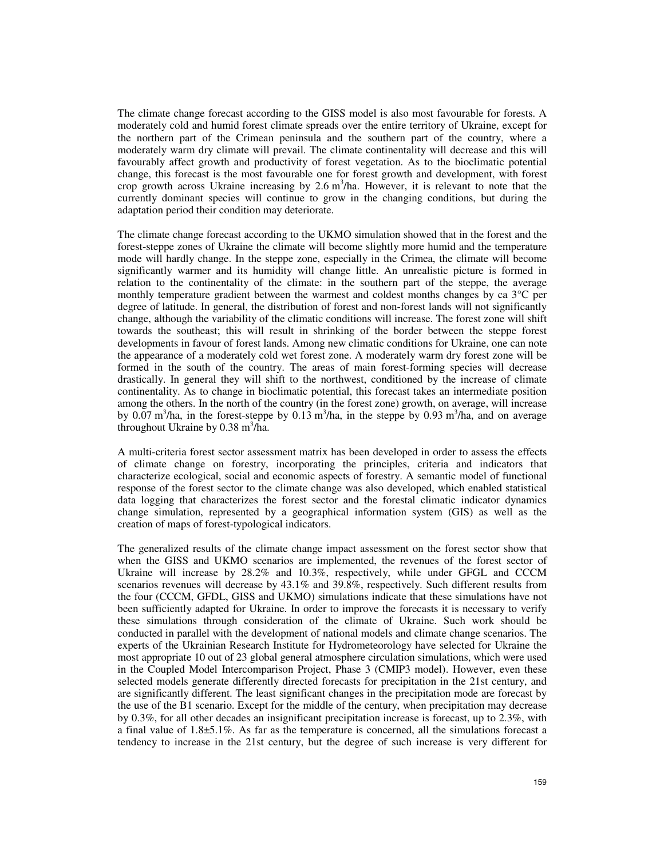The climate change forecast according to the GISS model is also most favourable for forests. A moderately cold and humid forest climate spreads over the entire territory of Ukraine, except for the northern part of the Crimean peninsula and the southern part of the country, where a moderately warm dry climate will prevail. The climate continentality will decrease and this will favourably affect growth and productivity of forest vegetation. As to the bioclimatic potential change, this forecast is the most favourable one for forest growth and development, with forest crop growth across Ukraine increasing by  $2.6 \text{ m}^3/\text{ha}$ . However, it is relevant to note that the currently dominant species will continue to grow in the changing conditions, but during the adaptation period their condition may deteriorate.

The climate change forecast according to the UKMO simulation showed that in the forest and the forest-steppe zones of Ukraine the climate will become slightly more humid and the temperature mode will hardly change. In the steppe zone, especially in the Crimea, the climate will become significantly warmer and its humidity will change little. An unrealistic picture is formed in relation to the continentality of the climate: in the southern part of the steppe, the average monthly temperature gradient between the warmest and coldest months changes by ca 3°C per degree of latitude. In general, the distribution of forest and non-forest lands will not significantly change, although the variability of the climatic conditions will increase. The forest zone will shift towards the southeast; this will result in shrinking of the border between the steppe forest developments in favour of forest lands. Among new climatic conditions for Ukraine, one can note the appearance of a moderately cold wet forest zone. A moderately warm dry forest zone will be formed in the south of the country. The areas of main forest-forming species will decrease drastically. In general they will shift to the northwest, conditioned by the increase of climate continentality. As to change in bioclimatic potential, this forecast takes an intermediate position among the others. In the north of the country (in the forest zone) growth, on average, will increase by 0.07 m<sup>3</sup>/ha, in the forest-steppe by 0.13 m<sup>3</sup>/ha, in the steppe by 0.93 m<sup>3</sup>/ha, and on average throughout Ukraine by  $0.38 \text{ m}^3/\text{ha}$ .

A multi-criteria forest sector assessment matrix has been developed in order to assess the effects of climate change on forestry, incorporating the principles, criteria and indicators that characterize ecological, social and economic aspects of forestry. A semantic model of functional response of the forest sector to the climate change was also developed, which enabled statistical data logging that characterizes the forest sector and the forestal climatic indicator dynamics change simulation, represented by a geographical information system (GIS) as well as the creation of maps of forest-typological indicators.

The generalized results of the climate change impact assessment on the forest sector show that when the GISS and UKMO scenarios are implemented, the revenues of the forest sector of Ukraine will increase by 28.2% and 10.3%, respectively, while under GFGL and CCCM scenarios revenues will decrease by 43.1% and 39.8%, respectively. Such different results from the four (CCCM, GFDL, GISS and UKMO) simulations indicate that these simulations have not been sufficiently adapted for Ukraine. In order to improve the forecasts it is necessary to verify these simulations through consideration of the climate of Ukraine. Such work should be conducted in parallel with the development of national models and climate change scenarios. The experts of the Ukrainian Research Institute for Hydrometeorology have selected for Ukraine the most appropriate 10 out of 23 global general atmosphere circulation simulations, which were used in the Coupled Model Intercomparison Project, Phase 3 (CMIP3 model). However, even these selected models generate differently directed forecasts for precipitation in the 21st century, and are significantly different. The least significant changes in the precipitation mode are forecast by the use of the B1 scenario. Except for the middle of the century, when precipitation may decrease by 0.3%, for all other decades an insignificant precipitation increase is forecast, up to 2.3%, with a final value of 1.8±5.1%. As far as the temperature is concerned, all the simulations forecast a tendency to increase in the 21st century, but the degree of such increase is very different for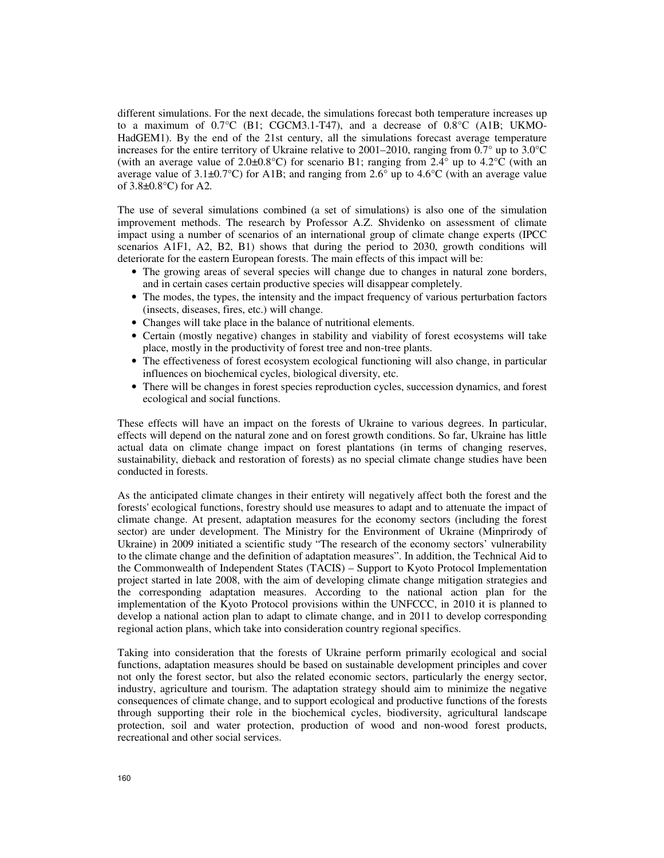different simulations. For the next decade, the simulations forecast both temperature increases up to a maximum of  $0.7^{\circ}$ C (B1; CGCM3.1-T47), and a decrease of  $0.8^{\circ}$ C (A1B; UKMO-HadGEM1). By the end of the 21st century, all the simulations forecast average temperature increases for the entire territory of Ukraine relative to 2001–2010, ranging from  $0.7^{\circ}$  up to  $3.0^{\circ}$ C (with an average value of 2.0 $\pm$ 0.8°C) for scenario B1; ranging from 2.4° up to 4.2°C (with an average value of 3.1 $\pm$ 0.7°C) for A1B; and ranging from 2.6° up to 4.6°C (with an average value of 3.8±0.8°C) for A2.

The use of several simulations combined (a set of simulations) is also one of the simulation improvement methods. The research by Professor A.Z. Shvidenko on assessment of climate impact using a number of scenarios of an international group of climate change experts (IPCC scenarios A1F1, A2, B2, B1) shows that during the period to 2030, growth conditions will deteriorate for the eastern European forests. The main effects of this impact will be:

- The growing areas of several species will change due to changes in natural zone borders, and in certain cases certain productive species will disappear completely.
- The modes, the types, the intensity and the impact frequency of various perturbation factors (insects, diseases, fires, etc.) will change.
- Changes will take place in the balance of nutritional elements.
- Certain (mostly negative) changes in stability and viability of forest ecosystems will take place, mostly in the productivity of forest tree and non-tree plants.
- The effectiveness of forest ecosystem ecological functioning will also change, in particular influences on biochemical cycles, biological diversity, etc.
- There will be changes in forest species reproduction cycles, succession dynamics, and forest ecological and social functions.

These effects will have an impact on the forests of Ukraine to various degrees. In particular, effects will depend on the natural zone and on forest growth conditions. So far, Ukraine has little actual data on climate change impact on forest plantations (in terms of changing reserves, sustainability, dieback and restoration of forests) as no special climate change studies have been conducted in forests.

As the anticipated climate changes in their entirety will negatively affect both the forest and the forests' ecological functions, forestry should use measures to adapt and to attenuate the impact of climate change. At present, adaptation measures for the economy sectors (including the forest sector) are under development. The Ministry for the Environment of Ukraine (Minprirody of Ukraine) in 2009 initiated a scientific study "The research of the economy sectors' vulnerability to the climate change and the definition of adaptation measures". In addition, the Technical Aid to the Commonwealth of Independent States (TACIS) – Support to Kyoto Protocol Implementation project started in late 2008, with the aim of developing climate change mitigation strategies and the corresponding adaptation measures. According to the national action plan for the implementation of the Kyoto Protocol provisions within the UNFCCC, in 2010 it is planned to develop a national action plan to adapt to climate change, and in 2011 to develop corresponding regional action plans, which take into consideration country regional specifics.

Taking into consideration that the forests of Ukraine perform primarily ecological and social functions, adaptation measures should be based on sustainable development principles and cover not only the forest sector, but also the related economic sectors, particularly the energy sector, industry, agriculture and tourism. The adaptation strategy should aim to minimize the negative consequences of climate change, and to support ecological and productive functions of the forests through supporting their role in the biochemical cycles, biodiversity, agricultural landscape protection, soil and water protection, production of wood and non-wood forest products, recreational and other social services.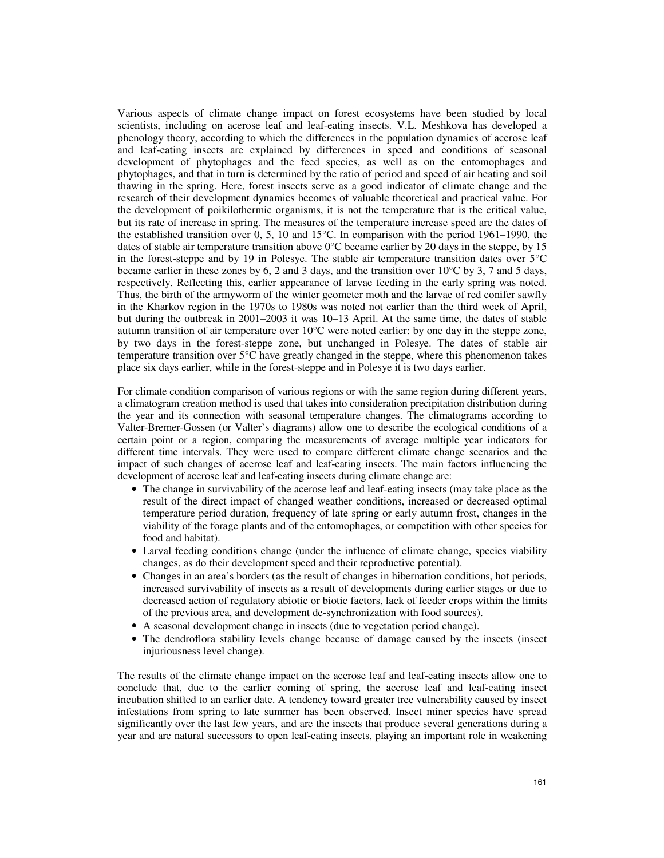Various aspects of climate change impact on forest ecosystems have been studied by local scientists, including on acerose leaf and leaf-eating insects. V.L. Meshkova has developed a phenology theory, according to which the differences in the population dynamics of acerose leaf and leaf-eating insects are explained by differences in speed and conditions of seasonal development of phytophages and the feed species, as well as on the entomophages and phytophages, and that in turn is determined by the ratio of period and speed of air heating and soil thawing in the spring. Here, forest insects serve as a good indicator of climate change and the research of their development dynamics becomes of valuable theoretical and practical value. For the development of poikilothermic organisms, it is not the temperature that is the critical value, but its rate of increase in spring. The measures of the temperature increase speed are the dates of the established transition over 0, 5, 10 and 15°C. In comparison with the period 1961–1990, the dates of stable air temperature transition above  $0^{\circ}$ C became earlier by 20 days in the steppe, by 15 in the forest-steppe and by 19 in Polesye. The stable air temperature transition dates over 5°C became earlier in these zones by 6, 2 and 3 days, and the transition over 10°C by 3, 7 and 5 days, respectively. Reflecting this, earlier appearance of larvae feeding in the early spring was noted. Thus, the birth of the armyworm of the winter geometer moth and the larvae of red conifer sawfly in the Kharkov region in the 1970s to 1980s was noted not earlier than the third week of April, but during the outbreak in 2001–2003 it was 10–13 April. At the same time, the dates of stable autumn transition of air temperature over 10°C were noted earlier: by one day in the steppe zone, by two days in the forest-steppe zone, but unchanged in Polesye. The dates of stable air temperature transition over 5°C have greatly changed in the steppe, where this phenomenon takes place six days earlier, while in the forest-steppe and in Polesye it is two days earlier.

For climate condition comparison of various regions or with the same region during different years, a climatogram creation method is used that takes into consideration precipitation distribution during the year and its connection with seasonal temperature changes. The climatograms according to Valter-Bremer-Gossen (or Valter's diagrams) allow one to describe the ecological conditions of a certain point or a region, comparing the measurements of average multiple year indicators for different time intervals. They were used to compare different climate change scenarios and the impact of such changes of acerose leaf and leaf-eating insects. The main factors influencing the development of acerose leaf and leaf-eating insects during climate change are:

- The change in survivability of the acerose leaf and leaf-eating insects (may take place as the result of the direct impact of changed weather conditions, increased or decreased optimal temperature period duration, frequency of late spring or early autumn frost, changes in the viability of the forage plants and of the entomophages, or competition with other species for food and habitat).
- Larval feeding conditions change (under the influence of climate change, species viability changes, as do their development speed and their reproductive potential).
- Changes in an area's borders (as the result of changes in hibernation conditions, hot periods, increased survivability of insects as a result of developments during earlier stages or due to decreased action of regulatory abiotic or biotic factors, lack of feeder crops within the limits of the previous area, and development de-synchronization with food sources).
- A seasonal development change in insects (due to vegetation period change).
- The dendroflora stability levels change because of damage caused by the insects (insect injuriousness level change).

The results of the climate change impact on the acerose leaf and leaf-eating insects allow one to conclude that, due to the earlier coming of spring, the acerose leaf and leaf-eating insect incubation shifted to an earlier date. A tendency toward greater tree vulnerability caused by insect infestations from spring to late summer has been observed. Insect miner species have spread significantly over the last few years, and are the insects that produce several generations during a year and are natural successors to open leaf-eating insects, playing an important role in weakening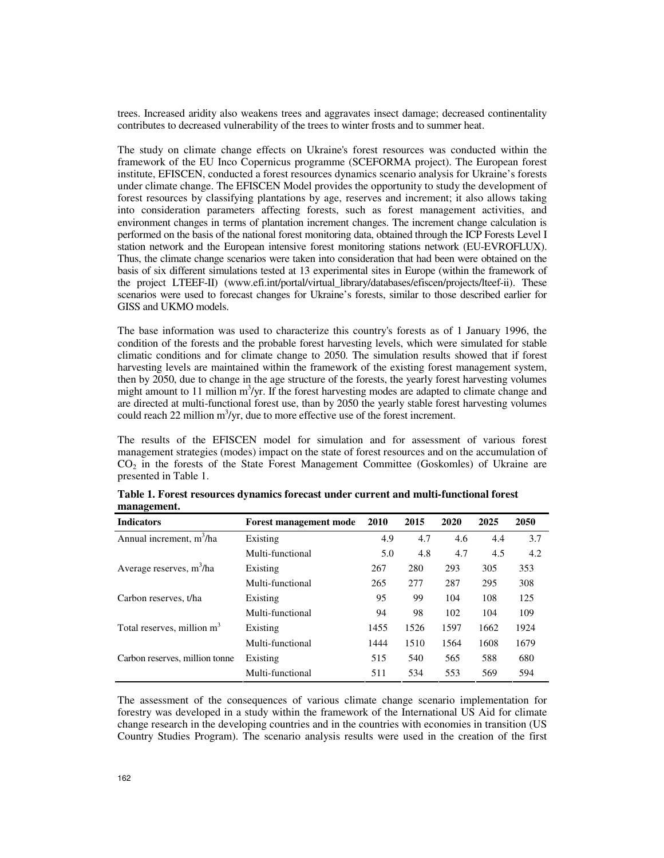trees. Increased aridity also weakens trees and aggravates insect damage; decreased continentality contributes to decreased vulnerability of the trees to winter frosts and to summer heat.

The study on climate change effects on Ukraine's forest resources was conducted within the framework of the EU Inco Copernicus programme (SCEFORMA project). The European forest institute, EFISCEN, conducted a forest resources dynamics scenario analysis for Ukraine's forests under climate change. The EFISCEN Model provides the opportunity to study the development of forest resources by classifying plantations by age, reserves and increment; it also allows taking into consideration parameters affecting forests, such as forest management activities, and environment changes in terms of plantation increment changes. The increment change calculation is performed on the basis of the national forest monitoring data, obtained through the ICP Forests Level I station network and the European intensive forest monitoring stations network (EU-EVROFLUX). Thus, the climate change scenarios were taken into consideration that had been were obtained on the basis of six different simulations tested at 13 experimental sites in Europe (within the framework of the project LTEEF-II) (www.efi.int/portal/virtual\_library/databases/efiscen/projects/lteef-ii). These scenarios were used to forecast changes for Ukraine's forests, similar to those described earlier for GISS and UKMO models.

The base information was used to characterize this country's forests as of 1 January 1996, the condition of the forests and the probable forest harvesting levels, which were simulated for stable climatic conditions and for climate change to 2050. The simulation results showed that if forest harvesting levels are maintained within the framework of the existing forest management system, then by 2050, due to change in the age structure of the forests, the yearly forest harvesting volumes might amount to 11 million  $m^3$ /yr. If the forest harvesting modes are adapted to climate change and are directed at multi-functional forest use, than by 2050 the yearly stable forest harvesting volumes could reach 22 million  $m^3$ /yr, due to more effective use of the forest increment.

The results of the EFISCEN model for simulation and for assessment of various forest management strategies (modes) impact on the state of forest resources and on the accumulation of  $CO<sub>2</sub>$  in the forests of the State Forest Management Committee (Goskomles) of Ukraine are presented in Table 1.

| <b>Indicators</b>                      | <b>Forest management mode</b> | 2010 | 2015 | 2020 | 2025 | 2050 |
|----------------------------------------|-------------------------------|------|------|------|------|------|
| Annual increment, $m^3/ha$             | Existing                      | 4.9  | 4.7  | 4.6  | 4.4  | 3.7  |
|                                        | Multi-functional              | 5.0  | 4.8  | 4.7  | 4.5  | 4.2  |
| Average reserves, m <sup>3</sup> /ha   | Existing                      | 267  | 280  | 293  | 305  | 353  |
|                                        | Multi-functional              | 265  | 277  | 287  | 295  | 308  |
| Carbon reserves, t/ha                  | Existing                      | 95   | 99   | 104  | 108  | 125  |
|                                        | Multi-functional              | 94   | 98   | 102  | 104  | 109  |
| Total reserves, million m <sup>3</sup> | Existing                      | 1455 | 1526 | 1597 | 1662 | 1924 |
|                                        | Multi-functional              | 1444 | 1510 | 1564 | 1608 | 1679 |
| Carbon reserves, million tonne         | Existing                      | 515  | 540  | 565  | 588  | 680  |
|                                        | Multi-functional              | 511  | 534  | 553  | 569  | 594  |

**Table 1. Forest resources dynamics forecast under current and multi-functional forest management.**

The assessment of the consequences of various climate change scenario implementation for forestry was developed in a study within the framework of the International US Aid for climate change research in the developing countries and in the countries with economies in transition (US Country Studies Program). The scenario analysis results were used in the creation of the first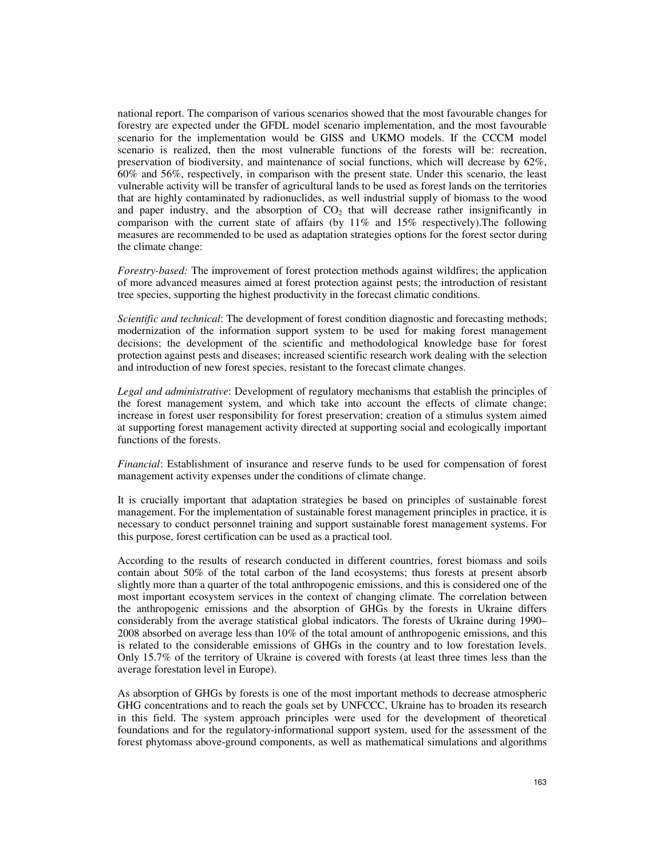national report. The comparison of various scenarios showed that the most favourable changes for forestry are expected under the GFDL model scenario implementation, and the most favourable scenario for the implementation would be GISS and UKMO models. If the CCCM model scenario is realized, then the most vulnerable functions of the forests will be: recreation, preservation of biodiversity, and maintenance of social functions, which will decrease by 62%, 60% and 56%, respectively, in comparison with the present state. Under this scenario, the least vulnerable activity will be transfer of agricultural lands to be used as forest lands on the territories that are highly contaminated by radionuclides, as well industrial supply of biomass to the wood and paper industry, and the absorption of  $CO<sub>2</sub>$  that will decrease rather insignificantly in comparison with the current state of affairs (by  $11\%$  and  $15\%$  respectively). The following measures are recommended to be used as adaptation strategies options for the forest sector during the climate change:

*Forestry-based:* The improvement of forest protection methods against wildfires; the application of more advanced measures aimed at forest protection against pests; the introduction of resistant tree species, supporting the highest productivity in the forecast climatic conditions.

*Scientific and technical*: The development of forest condition diagnostic and forecasting methods; modernization of the information support system to be used for making forest management decisions; the development of the scientific and methodological knowledge base for forest protection against pests and diseases; increased scientific research work dealing with the selection and introduction of new forest species, resistant to the forecast climate changes.

*Legal and administrative*: Development of regulatory mechanisms that establish the principles of the forest management system, and which take into account the effects of climate change; increase in forest user responsibility for forest preservation; creation of a stimulus system aimed at supporting forest management activity directed at supporting social and ecologically important functions of the forests.

*Financial*: Establishment of insurance and reserve funds to be used for compensation of forest management activity expenses under the conditions of climate change.

It is crucially important that adaptation strategies be based on principles of sustainable forest management. For the implementation of sustainable forest management principles in practice, it is necessary to conduct personnel training and support sustainable forest management systems. For this purpose, forest certification can be used as a practical tool.

According to the results of research conducted in different countries, forest biomass and soils contain about 50% of the total carbon of the land ecosystems; thus forests at present absorb slightly more than a quarter of the total anthropogenic emissions, and this is considered one of the most important ecosystem services in the context of changing climate. The correlation between the anthropogenic emissions and the absorption of GHGs by the forests in Ukraine differs considerably from the average statistical global indicators. The forests of Ukraine during 1990– 2008 absorbed on average less than 10% of the total amount of anthropogenic emissions, and this is related to the considerable emissions of GHGs in the country and to low forestation levels. Only 15.7% of the territory of Ukraine is covered with forests (at least three times less than the average forestation level in Europe).

As absorption of GHGs by forests is one of the most important methods to decrease atmospheric GHG concentrations and to reach the goals set by UNFCCC, Ukraine has to broaden its research in this field. The system approach principles were used for the development of theoretical foundations and for the regulatory-informational support system, used for the assessment of the forest phytomass above-ground components, as well as mathematical simulations and algorithms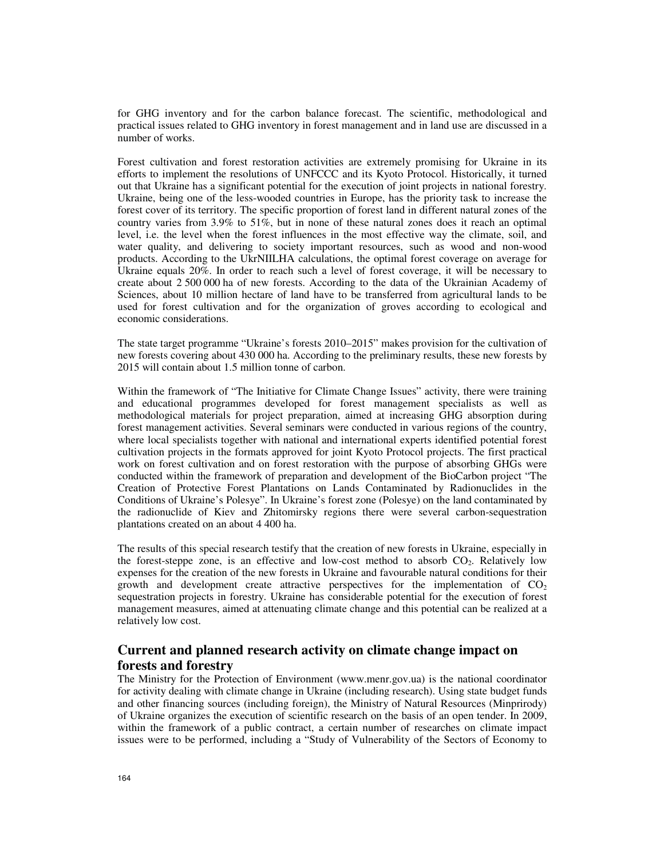for GHG inventory and for the carbon balance forecast. The scientific, methodological and practical issues related to GHG inventory in forest management and in land use are discussed in a number of works.

Forest cultivation and forest restoration activities are extremely promising for Ukraine in its efforts to implement the resolutions of UNFCCC and its Kyoto Protocol. Historically, it turned out that Ukraine has a significant potential for the execution of joint projects in national forestry. Ukraine, being one of the less-wooded countries in Europe, has the priority task to increase the forest cover of its territory. The specific proportion of forest land in different natural zones of the country varies from 3.9% to 51%, but in none of these natural zones does it reach an optimal level, i.e. the level when the forest influences in the most effective way the climate, soil, and water quality, and delivering to society important resources, such as wood and non-wood products. According to the UkrNIILHA calculations, the optimal forest coverage on average for Ukraine equals 20%. In order to reach such a level of forest coverage, it will be necessary to create about 2 500 000 ha of new forests. According to the data of the Ukrainian Academy of Sciences, about 10 million hectare of land have to be transferred from agricultural lands to be used for forest cultivation and for the organization of groves according to ecological and economic considerations.

The state target programme "Ukraine's forests 2010–2015" makes provision for the cultivation of new forests covering about 430 000 ha. According to the preliminary results, these new forests by 2015 will contain about 1.5 million tonne of carbon.

Within the framework of "The Initiative for Climate Change Issues" activity, there were training and educational programmes developed for forest management specialists as well as methodological materials for project preparation, aimed at increasing GHG absorption during forest management activities. Several seminars were conducted in various regions of the country, where local specialists together with national and international experts identified potential forest cultivation projects in the formats approved for joint Kyoto Protocol projects. The first practical work on forest cultivation and on forest restoration with the purpose of absorbing GHGs were conducted within the framework of preparation and development of the BioCarbon project "The Creation of Protective Forest Plantations on Lands Contaminated by Radionuclides in the Conditions of Ukraine's Polesye". In Ukraine's forest zone (Polesye) on the land contaminated by the radionuclide of Kiev and Zhitomirsky regions there were several carbon-sequestration plantations created on an about 4 400 ha.

The results of this special research testify that the creation of new forests in Ukraine, especially in the forest-steppe zone, is an effective and low-cost method to absorb  $CO<sub>2</sub>$ . Relatively low expenses for the creation of the new forests in Ukraine and favourable natural conditions for their growth and development create attractive perspectives for the implementation of  $CO<sub>2</sub>$ sequestration projects in forestry. Ukraine has considerable potential for the execution of forest management measures, aimed at attenuating climate change and this potential can be realized at a relatively low cost.

## **Current and planned research activity on climate change impact on forests and forestry**

The Ministry for the Protection of Environment (www.menr.gov.ua) is the national coordinator for activity dealing with climate change in Ukraine (including research). Using state budget funds and other financing sources (including foreign), the Ministry of Natural Resources (Minprirody) of Ukraine organizes the execution of scientific research on the basis of an open tender. In 2009, within the framework of a public contract, a certain number of researches on climate impact issues were to be performed, including a "Study of Vulnerability of the Sectors of Economy to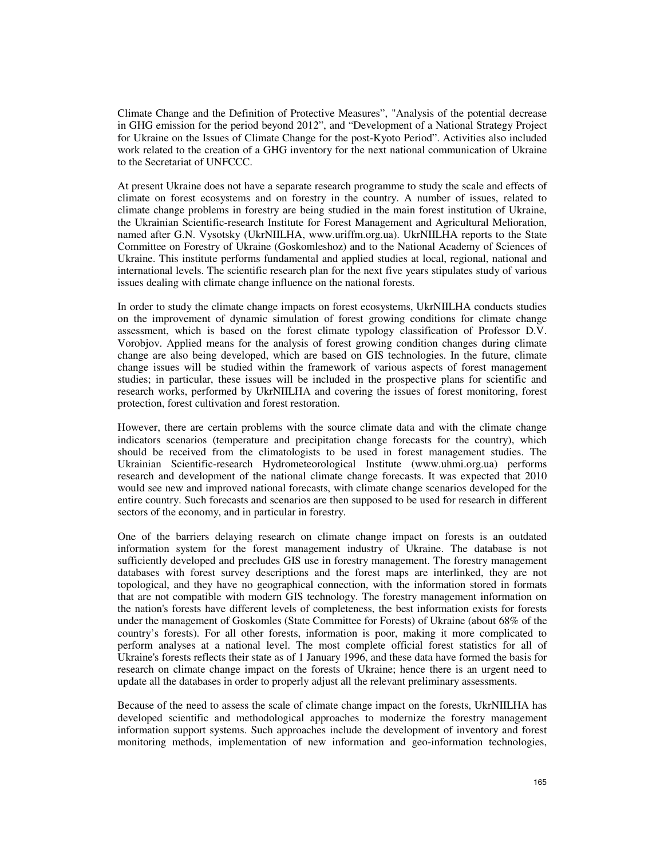Climate Change and the Definition of Protective Measures", "Analysis of the potential decrease in GHG emission for the period beyond 2012", and "Development of a National Strategy Project for Ukraine on the Issues of Climate Change for the post-Kyoto Period". Activities also included work related to the creation of a GHG inventory for the next national communication of Ukraine to the Secretariat of UNFCCC.

At present Ukraine does not have a separate research programme to study the scale and effects of climate on forest ecosystems and on forestry in the country. A number of issues, related to climate change problems in forestry are being studied in the main forest institution of Ukraine, the Ukrainian Scientific-research Institute for Forest Management and Agricultural Melioration, named after G.N. Vysotsky (UkrNIILHA, www.uriffm.org.ua). UkrNIILHA reports to the State Committee on Forestry of Ukraine (Goskomleshoz) and to the National Academy of Sciences of Ukraine. This institute performs fundamental and applied studies at local, regional, national and international levels. The scientific research plan for the next five years stipulates study of various issues dealing with climate change influence on the national forests.

In order to study the climate change impacts on forest ecosystems, UkrNIILHA conducts studies on the improvement of dynamic simulation of forest growing conditions for climate change assessment, which is based on the forest climate typology classification of Professor D.V. Vorobjov. Applied means for the analysis of forest growing condition changes during climate change are also being developed, which are based on GIS technologies. In the future, climate change issues will be studied within the framework of various aspects of forest management studies; in particular, these issues will be included in the prospective plans for scientific and research works, performed by UkrNIILHA and covering the issues of forest monitoring, forest protection, forest cultivation and forest restoration.

However, there are certain problems with the source climate data and with the climate change indicators scenarios (temperature and precipitation change forecasts for the country), which should be received from the climatologists to be used in forest management studies. The Ukrainian Scientific-research Hydrometeorological Institute (www.uhmi.org.ua) performs research and development of the national climate change forecasts. It was expected that 2010 would see new and improved national forecasts, with climate change scenarios developed for the entire country. Such forecasts and scenarios are then supposed to be used for research in different sectors of the economy, and in particular in forestry.

One of the barriers delaying research on climate change impact on forests is an outdated information system for the forest management industry of Ukraine. The database is not sufficiently developed and precludes GIS use in forestry management. The forestry management databases with forest survey descriptions and the forest maps are interlinked, they are not topological, and they have no geographical connection, with the information stored in formats that are not compatible with modern GIS technology. The forestry management information on the nation's forests have different levels of completeness, the best information exists for forests under the management of Goskomles (State Committee for Forests) of Ukraine (about 68% of the country's forests). For all other forests, information is poor, making it more complicated to perform analyses at a national level. The most complete official forest statistics for all of Ukraine's forests reflects their state as of 1 January 1996, and these data have formed the basis for research on climate change impact on the forests of Ukraine; hence there is an urgent need to update all the databases in order to properly adjust all the relevant preliminary assessments.

Because of the need to assess the scale of climate change impact on the forests, UkrNIILHA has developed scientific and methodological approaches to modernize the forestry management information support systems. Such approaches include the development of inventory and forest monitoring methods, implementation of new information and geo-information technologies,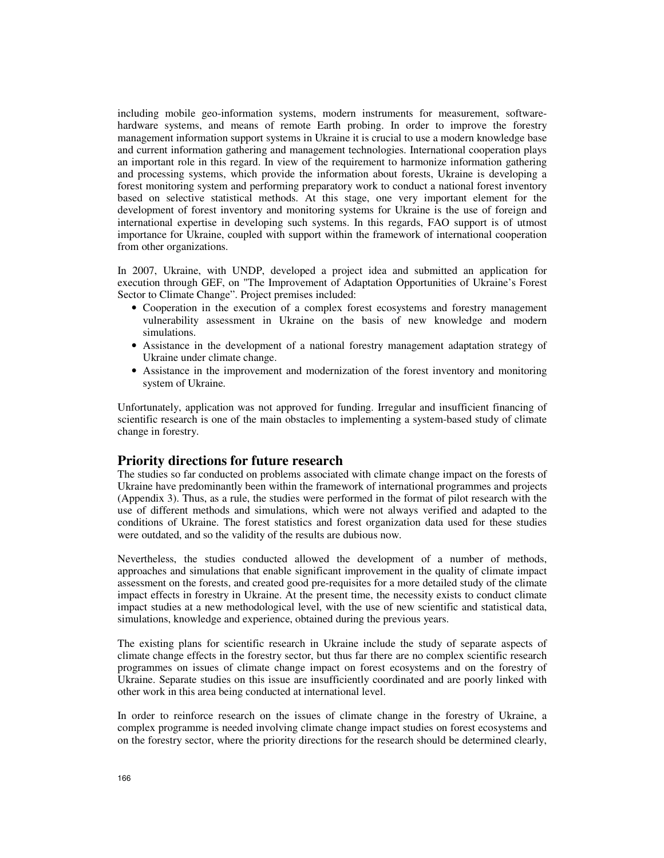including mobile geo-information systems, modern instruments for measurement, softwarehardware systems, and means of remote Earth probing. In order to improve the forestry management information support systems in Ukraine it is crucial to use a modern knowledge base and current information gathering and management technologies. International cooperation plays an important role in this regard. In view of the requirement to harmonize information gathering and processing systems, which provide the information about forests, Ukraine is developing a forest monitoring system and performing preparatory work to conduct a national forest inventory based on selective statistical methods. At this stage, one very important element for the development of forest inventory and monitoring systems for Ukraine is the use of foreign and international expertise in developing such systems. In this regards, FAO support is of utmost importance for Ukraine, coupled with support within the framework of international cooperation from other organizations.

In 2007, Ukraine, with UNDP, developed a project idea and submitted an application for execution through GEF, on "The Improvement of Adaptation Opportunities of Ukraine's Forest Sector to Climate Change". Project premises included:

- Cooperation in the execution of a complex forest ecosystems and forestry management vulnerability assessment in Ukraine on the basis of new knowledge and modern simulations.
- Assistance in the development of a national forestry management adaptation strategy of Ukraine under climate change.
- Assistance in the improvement and modernization of the forest inventory and monitoring system of Ukraine.

Unfortunately, application was not approved for funding. Irregular and insufficient financing of scientific research is one of the main obstacles to implementing a system-based study of climate change in forestry.

## **Priority directions for future research**

The studies so far conducted on problems associated with climate change impact on the forests of Ukraine have predominantly been within the framework of international programmes and projects (Appendix 3). Thus, as a rule, the studies were performed in the format of pilot research with the use of different methods and simulations, which were not always verified and adapted to the conditions of Ukraine. The forest statistics and forest organization data used for these studies were outdated, and so the validity of the results are dubious now.

Nevertheless, the studies conducted allowed the development of a number of methods, approaches and simulations that enable significant improvement in the quality of climate impact assessment on the forests, and created good pre-requisites for a more detailed study of the climate impact effects in forestry in Ukraine. At the present time, the necessity exists to conduct climate impact studies at a new methodological level, with the use of new scientific and statistical data, simulations, knowledge and experience, obtained during the previous years.

The existing plans for scientific research in Ukraine include the study of separate aspects of climate change effects in the forestry sector, but thus far there are no complex scientific research programmes on issues of climate change impact on forest ecosystems and on the forestry of Ukraine. Separate studies on this issue are insufficiently coordinated and are poorly linked with other work in this area being conducted at international level.

In order to reinforce research on the issues of climate change in the forestry of Ukraine, a complex programme is needed involving climate change impact studies on forest ecosystems and on the forestry sector, where the priority directions for the research should be determined clearly,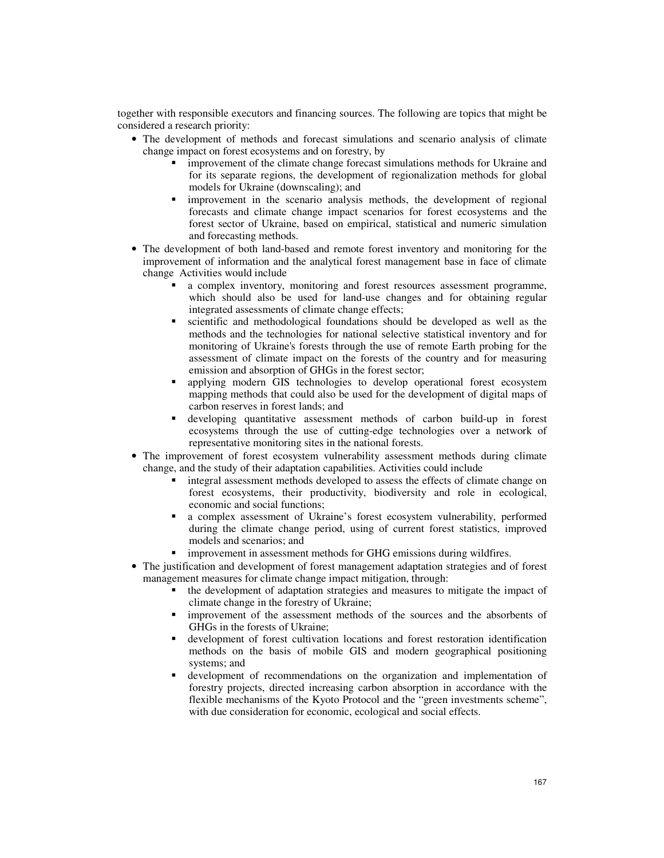together with responsible executors and financing sources. The following are topics that might be considered a research priority:

- The development of methods and forecast simulations and scenario analysis of climate change impact on forest ecosystems and on forestry, by
	- **Industrially improvement of the climate change forecast simulations methods for Ukraine and** for its separate regions, the development of regionalization methods for global models for Ukraine (downscaling); and
	- improvement in the scenario analysis methods, the development of regional forecasts and climate change impact scenarios for forest ecosystems and the forest sector of Ukraine, based on empirical, statistical and numeric simulation and forecasting methods.
- The development of both land-based and remote forest inventory and monitoring for the improvement of information and the analytical forest management base in face of climate change Activities would include
	- a complex inventory, monitoring and forest resources assessment programme, which should also be used for land-use changes and for obtaining regular integrated assessments of climate change effects;
	- scientific and methodological foundations should be developed as well as the methods and the technologies for national selective statistical inventory and for monitoring of Ukraine's forests through the use of remote Earth probing for the assessment of climate impact on the forests of the country and for measuring emission and absorption of GHGs in the forest sector;
	- applying modern GIS technologies to develop operational forest ecosystem mapping methods that could also be used for the development of digital maps of carbon reserves in forest lands; and
	- developing quantitative assessment methods of carbon build-up in forest ecosystems through the use of cutting-edge technologies over a network of representative monitoring sites in the national forests.
- The improvement of forest ecosystem vulnerability assessment methods during climate change, and the study of their adaptation capabilities. Activities could include
	- $\blacksquare$  integral assessment methods developed to assess the effects of climate change on forest ecosystems, their productivity, biodiversity and role in ecological, economic and social functions;
	- a complex assessment of Ukraine's forest ecosystem vulnerability, performed during the climate change period, using of current forest statistics, improved models and scenarios; and
	- $\blacksquare$  improvement in assessment methods for GHG emissions during wildfires.
- The justification and development of forest management adaptation strategies and of forest management measures for climate change impact mitigation, through:
	- the development of adaptation strategies and measures to mitigate the impact of climate change in the forestry of Ukraine;
	- improvement of the assessment methods of the sources and the absorbents of GHGs in the forests of Ukraine;
	- development of forest cultivation locations and forest restoration identification methods on the basis of mobile GIS and modern geographical positioning systems; and
	- development of recommendations on the organization and implementation of forestry projects, directed increasing carbon absorption in accordance with the flexible mechanisms of the Kyoto Protocol and the "green investments scheme", with due consideration for economic, ecological and social effects.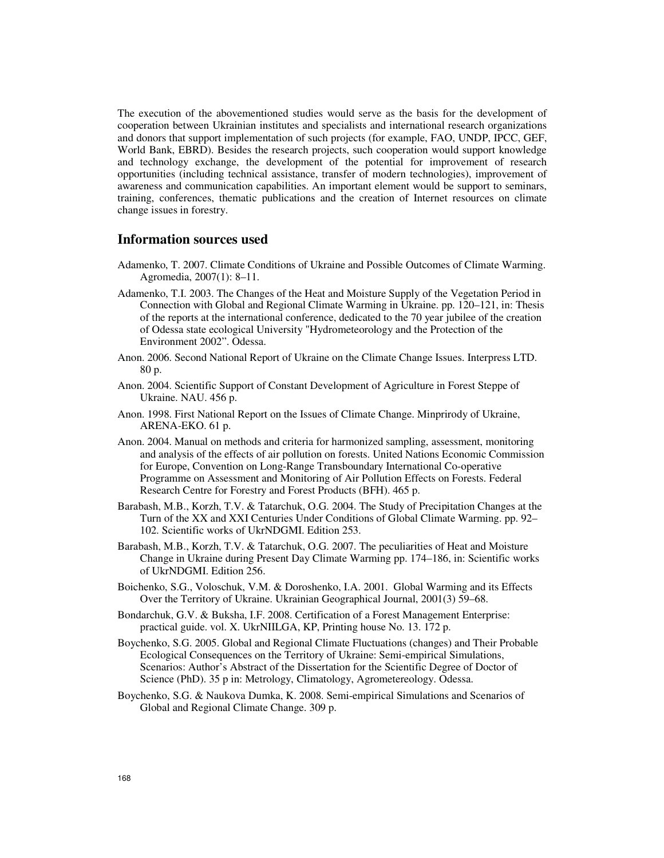The execution of the abovementioned studies would serve as the basis for the development of cooperation between Ukrainian institutes and specialists and international research organizations and donors that support implementation of such projects (for example, FAO, UNDP, IPCC, GEF, World Bank, EBRD). Besides the research projects, such cooperation would support knowledge and technology exchange, the development of the potential for improvement of research opportunities (including technical assistance, transfer of modern technologies), improvement of awareness and communication capabilities. An important element would be support to seminars, training, conferences, thematic publications and the creation of Internet resources on climate change issues in forestry.

## **Information sources used**

- Adamenko, T. 2007. Climate Conditions of Ukraine and Possible Outcomes of Climate Warming. Agromedia, 2007(1): 8–11.
- Adamenko, T.I. 2003. The Changes of the Heat and Moisture Supply of the Vegetation Period in Connection with Global and Regional Climate Warming in Ukraine. pp. 120–121, in: Thesis of the reports at the international conference, dedicated to the 70 year jubilee of the creation of Odessa state ecological University "Hydrometeorology and the Protection of the Environment 2002". Odessa.
- Anon. 2006. Second National Report of Ukraine on the Climate Change Issues. Interpress LTD. 80 p.
- Anon. 2004. Scientific Support of Constant Development of Agriculture in Forest Steppe of Ukraine. NAU. 456 p.
- Anon. 1998. First National Report on the Issues of Climate Change. Minprirody of Ukraine, ARENA-EKO. 61 p.
- Anon. 2004. Manual on methods and criteria for harmonized sampling, assessment, monitoring and analysis of the effects of air pollution on forests. United Nations Economic Commission for Europe, Convention on Long-Range Transboundary International Co-operative Programme on Assessment and Monitoring of Air Pollution Effects on Forests. Federal Research Centre for Forestry and Forest Products (BFH). 465 p.
- Barabash, M.B., Korzh, T.V. & Tatarchuk, O.G. 2004. The Study of Precipitation Changes at the Turn of the XX and XXI Centuries Under Conditions of Global Climate Warming. pp. 92– 102. Scientific works of UkrNDGMI. Edition 253.
- Barabash, M.B., Korzh, T.V. & Tatarchuk, O.G. 2007. The peculiarities of Heat and Moisture Change in Ukraine during Present Day Climate Warming pp. 174–186, in: Scientific works of UkrNDGMI. Edition 256.
- Boichenko, S.G., Voloschuk, V.M. & Doroshenko, I.A. 2001. Global Warming and its Effects Over the Territory of Ukraine. Ukrainian Geographical Journal, 2001(3) 59–68.
- Bondarchuk, G.V. & Buksha, I.F. 2008. Certification of a Forest Management Enterprise: practical guide. vol. X. UkrNIILGA, KP, Printing house No. 13. 172 p.
- Boychenko, S.G. 2005. Global and Regional Climate Fluctuations (changes) and Their Probable Ecological Consequences on the Territory of Ukraine: Semi-empirical Simulations, Scenarios: Author's Abstract of the Dissertation for the Scientific Degree of Doctor of Science (PhD). 35 p in: Metrology, Climatology, Agrometereology. Odessa.
- Boychenko, S.G. & Naukova Dumka, K. 2008. Semi-empirical Simulations and Scenarios of Global and Regional Climate Change. 309 p.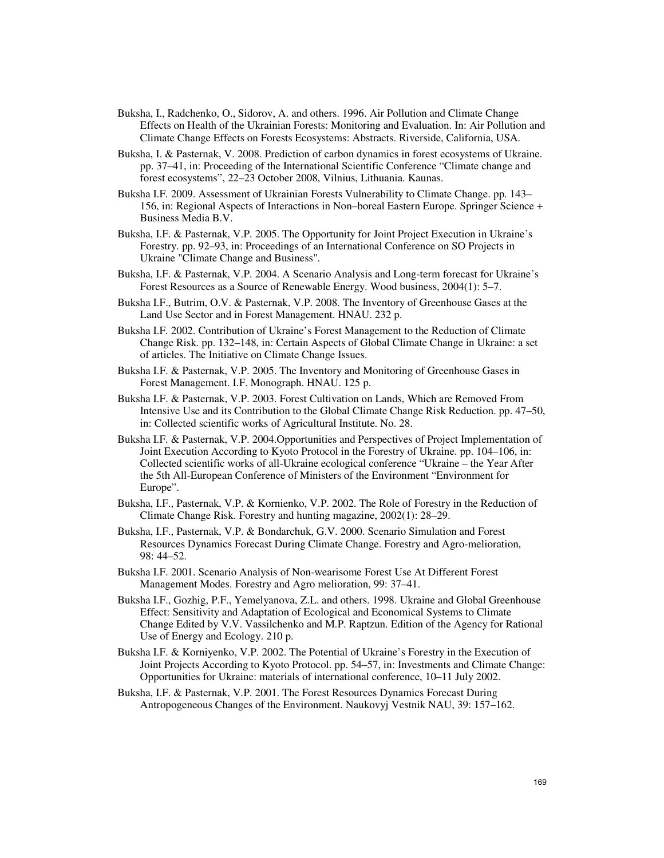- Buksha, I., Radchenko, O., Sidorov, A. and others. 1996. Air Pollution and Climate Change Effects on Health of the Ukrainian Forests: Monitoring and Evaluation. In: Air Pollution and Climate Change Effects on Forests Ecosystems: Abstracts. Riverside, California, USA.
- Buksha, I. & Pasternak, V. 2008. Prediction of carbon dynamics in forest ecosystems of Ukraine. pp. 37–41, in: Proceeding of the International Scientific Conference "Climate change and forest ecosystems", 22–23 October 2008, Vilnius, Lithuania. Kaunas.
- Buksha I.F. 2009. Assessment of Ukrainian Forests Vulnerability to Climate Change. pp. 143– 156, in: Regional Aspects of Interactions in Non–boreal Eastern Europe. Springer Science + Business Media B.V.
- Buksha, I.F. & Pasternak, V.P. 2005. The Opportunity for Joint Project Execution in Ukraine's Forestry. pp. 92–93, in: Proceedings of an International Conference on SO Projects in Ukraine "Climate Change and Business".
- Buksha, I.F. & Pasternak, V.P. 2004. A Scenario Analysis and Long-term forecast for Ukraine's Forest Resources as a Source of Renewable Energy. Wood business, 2004(1): 5–7.
- Buksha I.F., Butrim, O.V. & Pasternak, V.P. 2008. The Inventory of Greenhouse Gases at the Land Use Sector and in Forest Management. HNAU. 232 p.
- Buksha I.F. 2002. Contribution of Ukraine's Forest Management to the Reduction of Climate Change Risk. pp. 132–148, in: Certain Aspects of Global Climate Change in Ukraine: a set of articles. The Initiative on Climate Change Issues.
- Buksha I.F. & Pasternak, V.P. 2005. The Inventory and Monitoring of Greenhouse Gases in Forest Management. I.F. Monograph. HNAU. 125 p.
- Buksha I.F. & Pasternak, V.P. 2003. Forest Cultivation on Lands, Which are Removed From Intensive Use and its Contribution to the Global Climate Change Risk Reduction. pp. 47–50, in: Collected scientific works of Agricultural Institute. No. 28.
- Buksha I.F. & Pasternak, V.P. 2004.Opportunities and Perspectives of Project Implementation of Joint Execution According to Kyoto Protocol in the Forestry of Ukraine. pp. 104–106, in: Collected scientific works of all-Ukraine ecological conference "Ukraine – the Year After the 5th All-European Conference of Ministers of the Environment "Environment for Europe".
- Buksha, I.F., Pasternak, V.P. & Kornienko, V.P. 2002. The Role of Forestry in the Reduction of Climate Change Risk. Forestry and hunting magazine, 2002(1): 28–29.
- Buksha, I.F., Pasternak, V.P. & Bondarchuk, G.V. 2000. Scenario Simulation and Forest Resources Dynamics Forecast During Climate Change. Forestry and Agro-melioration, 98: 44–52.
- Buksha I.F. 2001. Scenario Analysis of Non-wearisome Forest Use At Different Forest Management Modes. Forestry and Agro melioration, 99: 37–41.
- Buksha I.F., Gozhig, P.F., Yemelyanova, Z.L. and others. 1998. Ukraine and Global Greenhouse Effect: Sensitivity and Adaptation of Ecological and Economical Systems to Climate Change Edited by V.V. Vassilchenko and M.P. Raptzun. Edition of the Agency for Rational Use of Energy and Ecology. 210 p.
- Buksha I.F. & Korniyenko, V.P. 2002. The Potential of Ukraine's Forestry in the Execution of Joint Projects According to Kyoto Protocol. pp. 54–57, in: Investments and Climate Change: Opportunities for Ukraine: materials of international conference, 10–11 July 2002.
- Buksha, I.F. & Pasternak, V.P. 2001. The Forest Resources Dynamics Forecast During Antropogeneous Changes of the Environment. Naukovyj Vestnik NAU, 39: 157–162.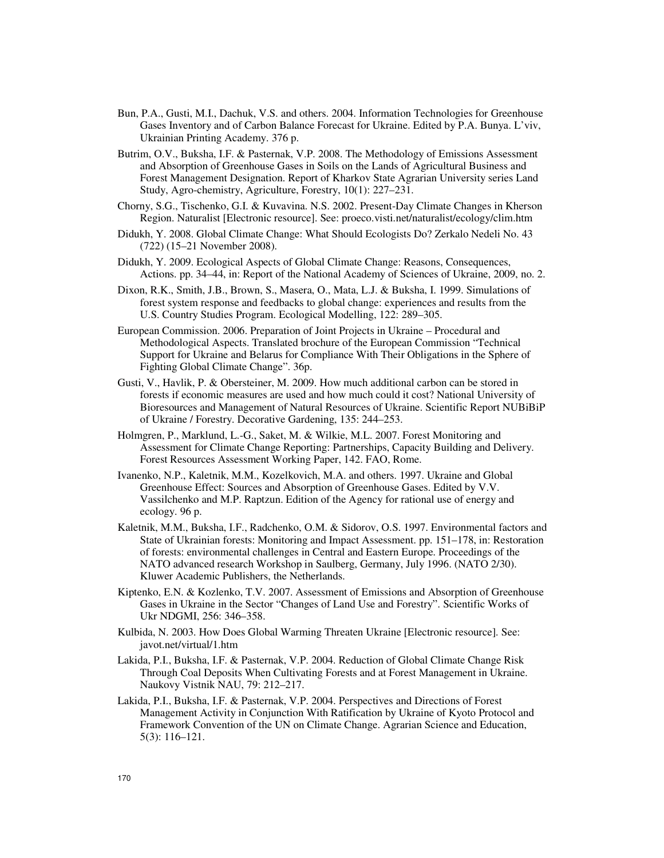- Bun, P.A., Gusti, M.I., Dachuk, V.S. and others. 2004. Information Technologies for Greenhouse Gases Inventory and of Carbon Balance Forecast for Ukraine. Edited by P.A. Bunya. L'viv, Ukrainian Printing Academy. 376 p.
- Butrim, O.V., Buksha, I.F. & Pasternak, V.P. 2008. The Methodology of Emissions Assessment and Absorption of Greenhouse Gases in Soils on the Lands of Agricultural Business and Forest Management Designation. Report of Kharkov State Agrarian University series Land Study, Agro-chemistry, Agriculture, Forestry, 10(1): 227–231.
- Chorny, S.G., Tischenko, G.I. & Kuvavina. N.S. 2002. Present-Day Climate Changes in Kherson Region. Naturalist [Electronic resource]. See: proeco.visti.net/naturalist/ecology/clim.htm
- Didukh, Y. 2008. Global Climate Change: What Should Ecologists Do? Zerkalo Nedeli No. 43 (722) (15–21 November 2008).
- Didukh, Y. 2009. Ecological Aspects of Global Climate Change: Reasons, Consequences, Actions. pp. 34–44, in: Report of the National Academy of Sciences of Ukraine, 2009, no. 2.
- Dixon, R.K., Smith, J.B., Brown, S., Masera, O., Mata, L.J. & Buksha, I. 1999. Simulations of forest system response and feedbacks to global change: experiences and results from the U.S. Country Studies Program. Ecological Modelling, 122: 289–305.
- European Commission. 2006. Preparation of Joint Projects in Ukraine Procedural and Methodological Aspects. Translated brochure of the European Commission "Technical Support for Ukraine and Belarus for Compliance With Their Obligations in the Sphere of Fighting Global Climate Change". 36p.
- Gusti, V., Havlik, P. & Obersteiner, M. 2009. How much additional carbon can be stored in forests if economic measures are used and how much could it cost? National University of Bioresources and Management of Natural Resources of Ukraine. Scientific Report NUBiBiP of Ukraine / Forestry. Decorative Gardening, 135: 244–253.
- Holmgren, P., Marklund, L.-G., Saket, M. & Wilkie, M.L. 2007. Forest Monitoring and Assessment for Climate Change Reporting: Partnerships, Capacity Building and Delivery. Forest Resources Assessment Working Paper, 142. FAO, Rome.
- Ivanenko, N.P., Kaletnik, M.M., Kozelkovich, M.A. and others. 1997. Ukraine and Global Greenhouse Effect: Sources and Absorption of Greenhouse Gases. Edited by V.V. Vassilchenko and M.P. Raptzun. Edition of the Agency for rational use of energy and ecology. 96 p.
- Kaletnik, M.M., Buksha, I.F., Radchenko, O.M. & Sidorov, O.S. 1997. Environmental factors and State of Ukrainian forests: Monitoring and Impact Assessment. pp. 151–178, in: Restoration of forests: environmental challenges in Central and Eastern Europe. Proceedings of the NATO advanced research Workshop in Saulberg, Germany, July 1996. (NATO 2/30). Kluwer Academic Publishers, the Netherlands.
- Kiptenko, E.N. & Kozlenko, T.V. 2007. Assessment of Emissions and Absorption of Greenhouse Gases in Ukraine in the Sector "Changes of Land Use and Forestry". Scientific Works of Ukr NDGMI, 256: 346–358.
- Kulbida, N. 2003. How Does Global Warming Threaten Ukraine [Electronic resource]. See: javot.net/virtual/1.htm
- Lakida, P.I., Buksha, I.F. & Pasternak, V.P. 2004. Reduction of Global Climate Change Risk Through Coal Deposits When Cultivating Forests and at Forest Management in Ukraine. Naukovy Vistnik NAU, 79: 212–217.
- Lakida, P.I., Buksha, I.F. & Pasternak, V.P. 2004. Perspectives and Directions of Forest Management Activity in Conjunction With Ratification by Ukraine of Kyoto Protocol and Framework Convention of the UN on Climate Change. Agrarian Science and Education, 5(3): 116–121.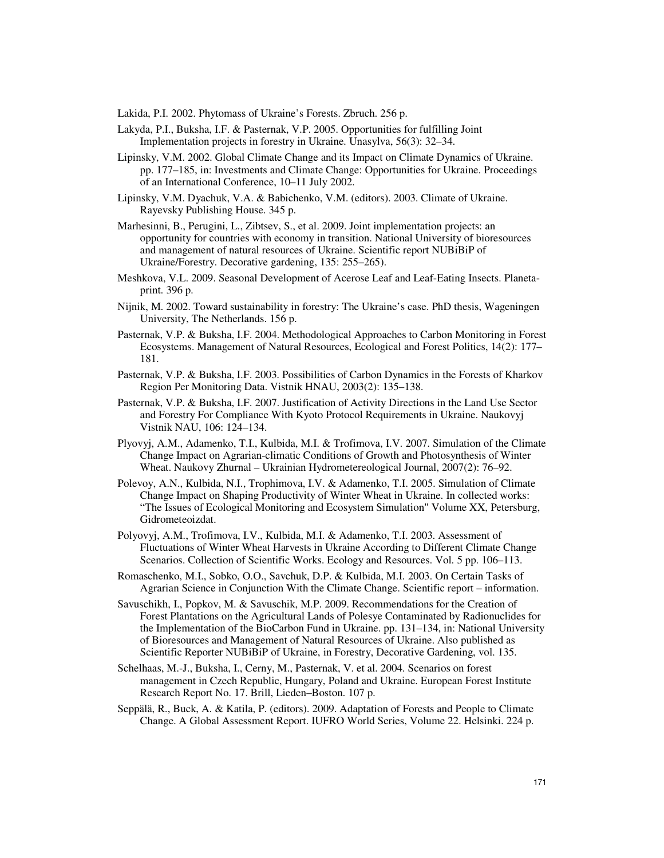Lakida, P.I. 2002. Phytomass of Ukraine's Forests. Zbruch. 256 p.

- Lakyda, P.I., Buksha, I.F. & Pasternak, V.P. 2005. Opportunities for fulfilling Joint Implementation projects in forestry in Ukraine. Unasylva, 56(3): 32–34.
- Lipinsky, V.M. 2002. Global Climate Change and its Impact on Climate Dynamics of Ukraine. pp. 177–185, in: Investments and Climate Change: Opportunities for Ukraine. Proceedings of an International Conference, 10–11 July 2002.
- Lipinsky, V.M. Dyachuk, V.A. & Babichenko, V.M. (editors). 2003. Climate of Ukraine. Rayevsky Publishing House. 345 p.
- Marhesinni, B., Perugini, L., Zibtsev, S., et al. 2009. Joint implementation projects: an opportunity for countries with economy in transition. National University of bioresources and management of natural resources of Ukraine. Scientific report NUBiBiP of Ukraine/Forestry. Decorative gardening, 135: 255–265).
- Meshkova, V.L. 2009. Seasonal Development of Acerose Leaf and Leaf-Eating Insects. Planetaprint. 396 p.
- Nijnik, M. 2002. Toward sustainability in forestry: The Ukraine's case. PhD thesis, Wageningen University, The Netherlands. 156 p.
- Pasternak, V.P. & Buksha, I.F. 2004. Methodological Approaches to Carbon Monitoring in Forest Ecosystems. Management of Natural Resources, Ecological and Forest Politics, 14(2): 177– 181.
- Pasternak, V.P. & Buksha, I.F. 2003. Possibilities of Carbon Dynamics in the Forests of Kharkov Region Per Monitoring Data. Vistnik HNAU, 2003(2): 135–138.
- Pasternak, V.P. & Buksha, I.F. 2007. Justification of Activity Directions in the Land Use Sector and Forestry For Compliance With Kyoto Protocol Requirements in Ukraine. Naukovyj Vistnik NAU, 106: 124–134.
- Plyovyj, A.M., Adamenko, T.I., Kulbida, M.I. & Trofimova, I.V. 2007. Simulation of the Climate Change Impact on Agrarian-climatic Conditions of Growth and Photosynthesis of Winter Wheat. Naukovy Zhurnal – Ukrainian Hydrometereological Journal, 2007(2): 76–92.
- Polevoy, A.N., Kulbida, N.I., Trophimova, I.V. & Adamenko, T.I. 2005. Simulation of Climate Change Impact on Shaping Productivity of Winter Wheat in Ukraine. In collected works: "The Issues of Ecological Monitoring and Ecosystem Simulation" Volume XX, Petersburg, Gidrometeoizdat.
- Polyovyj, A.M., Trofimova, I.V., Kulbida, M.I. & Adamenko, T.I. 2003. Assessment of Fluctuations of Winter Wheat Harvests in Ukraine According to Different Climate Change Scenarios. Collection of Scientific Works. Ecology and Resources. Vol. 5 pp. 106–113.
- Romaschenko, M.I., Sobko, O.O., Savchuk, D.P. & Kulbida, M.I. 2003. On Certain Tasks of Agrarian Science in Conjunction With the Climate Change. Scientific report – information.
- Savuschikh, I., Popkov, M. & Savuschik, M.P. 2009. Recommendations for the Creation of Forest Plantations on the Agricultural Lands of Polesye Contaminated by Radionuclides for the Implementation of the BioCarbon Fund in Ukraine. pp. 131–134, in: National University of Bioresources and Management of Natural Resources of Ukraine. Also published as Scientific Reporter NUBiBiP of Ukraine, in Forestry, Decorative Gardening, vol. 135.
- Schelhaas, M.-J., Buksha, I., Cerny, M., Pasternak, V. et al. 2004. Scenarios on forest management in Czech Republic, Hungary, Poland and Ukraine. European Forest Institute Research Report No. 17. Brill, Lieden–Boston. 107 p.
- Seppälä, R., Buck, A. & Katila, P. (editors). 2009. Adaptation of Forests and People to Climate Change. A Global Assessment Report. IUFRO World Series, Volume 22. Helsinki. 224 p.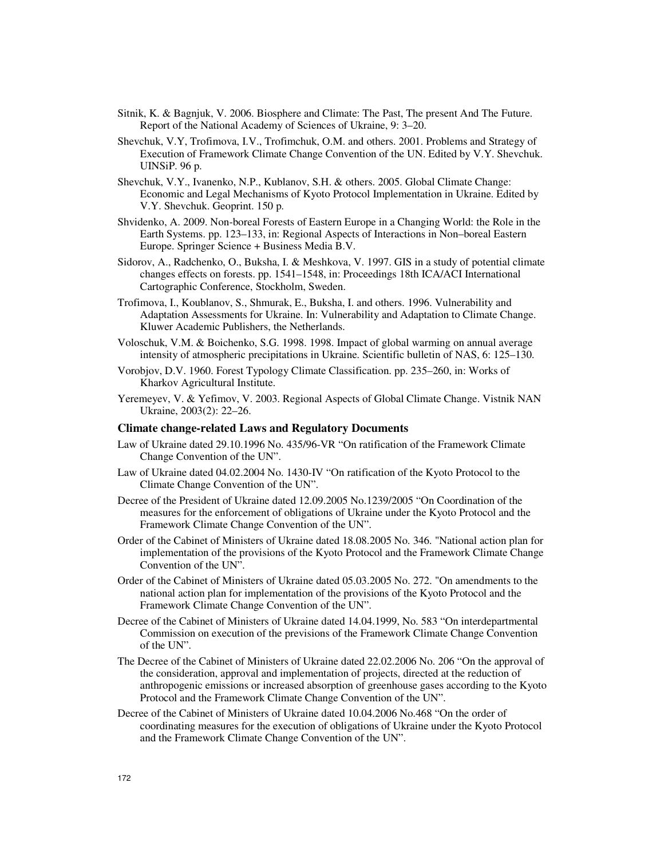- Sitnik, K. & Bagnjuk, V. 2006. Biosphere and Climate: The Past, The present And The Future. Report of the National Academy of Sciences of Ukraine, 9: 3–20.
- Shevchuk, V.Y, Trofimova, I.V., Trofimchuk, O.M. and others. 2001. Problems and Strategy of Execution of Framework Climate Change Convention of the UN. Edited by V.Y. Shevchuk. UINSiP. 96 p.
- Shevchuk, V.Y., Ivanenko, N.P., Kublanov, S.H. & others. 2005. Global Climate Change: Economic and Legal Mechanisms of Kyoto Protocol Implementation in Ukraine. Edited by V.Y. Shevchuk. Geoprint. 150 p.
- Shvidenko, A. 2009. Non-boreal Forests of Eastern Europe in a Changing World: the Role in the Earth Systems. pp. 123–133, in: Regional Aspects of Interactions in Non–boreal Eastern Europe. Springer Science + Business Media B.V.
- Sidorov, A., Radchenko, O., Buksha, I. & Meshkova, V. 1997. GIS in a study of potential climate changes effects on forests. pp. 1541–1548, in: Proceedings 18th ICA/ACI International Cartographic Conference, Stockholm, Sweden.
- Trofimova, I., Koublanov, S., Shmurak, E., Buksha, I. and others. 1996. Vulnerability and Adaptation Assessments for Ukraine. In: Vulnerability and Adaptation to Climate Change. Kluwer Academic Publishers, the Netherlands.
- Voloschuk, V.M. & Boichenko, S.G. 1998. 1998. Impact of global warming on annual average intensity of atmospheric precipitations in Ukraine. Scientific bulletin of NAS, 6: 125–130.
- Vorobjov, D.V. 1960. Forest Typology Climate Classification. pp. 235–260, in: Works of Kharkov Agricultural Institute.
- Yeremeyev, V. & Yefimov, V. 2003. Regional Aspects of Global Climate Change. Vistnik NAN Ukraine, 2003(2): 22–26.

#### **Climate change-related Laws and Regulatory Documents**

- Law of Ukraine dated 29.10.1996 No. 435/96-VR "On ratification of the Framework Climate Change Convention of the UN".
- Law of Ukraine dated 04.02.2004 No. 1430-IV "On ratification of the Kyoto Protocol to the Climate Change Convention of the UN".
- Decree of the President of Ukraine dated 12.09.2005 No.1239/2005 "On Coordination of the measures for the enforcement of obligations of Ukraine under the Kyoto Protocol and the Framework Climate Change Convention of the UN".
- Order of the Cabinet of Ministers of Ukraine dated 18.08.2005 No. 346. "National action plan for implementation of the provisions of the Kyoto Protocol and the Framework Climate Change Convention of the UN".
- Order of the Cabinet of Ministers of Ukraine dated 05.03.2005 No. 272. "On amendments to the national action plan for implementation of the provisions of the Kyoto Protocol and the Framework Climate Change Convention of the UN".
- Decree of the Cabinet of Ministers of Ukraine dated 14.04.1999, No. 583 "On interdepartmental Commission on execution of the previsions of the Framework Climate Change Convention of the UN".
- The Decree of the Cabinet of Ministers of Ukraine dated 22.02.2006 No. 206 "On the approval of the consideration, approval and implementation of projects, directed at the reduction of anthropogenic emissions or increased absorption of greenhouse gases according to the Kyoto Protocol and the Framework Climate Change Convention of the UN".
- Decree of the Cabinet of Ministers of Ukraine dated 10.04.2006 No.468 "On the order of coordinating measures for the execution of obligations of Ukraine under the Kyoto Protocol and the Framework Climate Change Convention of the UN".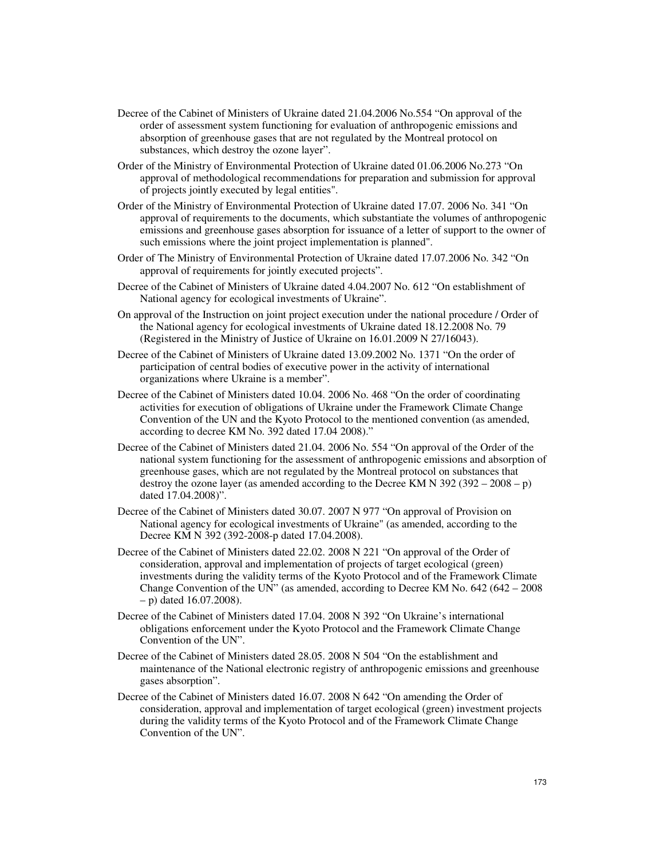- Decree of the Cabinet of Ministers of Ukraine dated 21.04.2006 No.554 "On approval of the order of assessment system functioning for evaluation of anthropogenic emissions and absorption of greenhouse gases that are not regulated by the Montreal protocol on substances, which destroy the ozone layer".
- Order of the Ministry of Environmental Protection of Ukraine dated 01.06.2006 No.273 "On approval of methodological recommendations for preparation and submission for approval of projects jointly executed by legal entities".
- Order of the Ministry of Environmental Protection of Ukraine dated 17.07. 2006 No. 341 "On approval of requirements to the documents, which substantiate the volumes of anthropogenic emissions and greenhouse gases absorption for issuance of a letter of support to the owner of such emissions where the joint project implementation is planned".
- Order of The Ministry of Environmental Protection of Ukraine dated 17.07.2006 No. 342 "On approval of requirements for jointly executed projects".
- Decree of the Cabinet of Ministers of Ukraine dated 4.04.2007 No. 612 "On establishment of National agency for ecological investments of Ukraine".
- On approval of the Instruction on joint project execution under the national procedure / Order of the National agency for ecological investments of Ukraine dated 18.12.2008 No. 79 (Registered in the Ministry of Justice of Ukraine on 16.01.2009 N 27/16043).
- Decree of the Cabinet of Ministers of Ukraine dated 13.09.2002 No. 1371 "On the order of participation of central bodies of executive power in the activity of international organizations where Ukraine is a member".
- Decree of the Cabinet of Ministers dated 10.04. 2006 No. 468 "On the order of coordinating activities for execution of obligations of Ukraine under the Framework Climate Change Convention of the UN and the Kyoto Protocol to the mentioned convention (as amended, according to decree KM No. 392 dated 17.04 2008)."
- Decree of the Cabinet of Ministers dated 21.04. 2006 No. 554 "On approval of the Order of the national system functioning for the assessment of anthropogenic emissions and absorption of greenhouse gases, which are not regulated by the Montreal protocol on substances that destroy the ozone layer (as amended according to the Decree KM N  $392 (392 - 2008 - p)$ ) dated 17.04.2008)".
- Decree of the Cabinet of Ministers dated 30.07. 2007 N 977 "On approval of Provision on National agency for ecological investments of Ukraine" (as amended, according to the Decree KM N 392 (392-2008-p dated 17.04.2008).
- Decree of the Cabinet of Ministers dated 22.02. 2008 N 221 "On approval of the Order of consideration, approval and implementation of projects of target ecological (green) investments during the validity terms of the Kyoto Protocol and of the Framework Climate Change Convention of the UN" (as amended, according to Decree KM No.  $642 (642 - 2008)$ – p) dated 16.07.2008).
- Decree of the Cabinet of Ministers dated 17.04. 2008 N 392 "On Ukraine's international obligations enforcement under the Kyoto Protocol and the Framework Climate Change Convention of the UN".
- Decree of the Cabinet of Ministers dated 28.05. 2008 N 504 "On the establishment and maintenance of the National electronic registry of anthropogenic emissions and greenhouse gases absorption".
- Decree of the Cabinet of Ministers dated 16.07. 2008 N 642 "On amending the Order of consideration, approval and implementation of target ecological (green) investment projects during the validity terms of the Kyoto Protocol and of the Framework Climate Change Convention of the UN".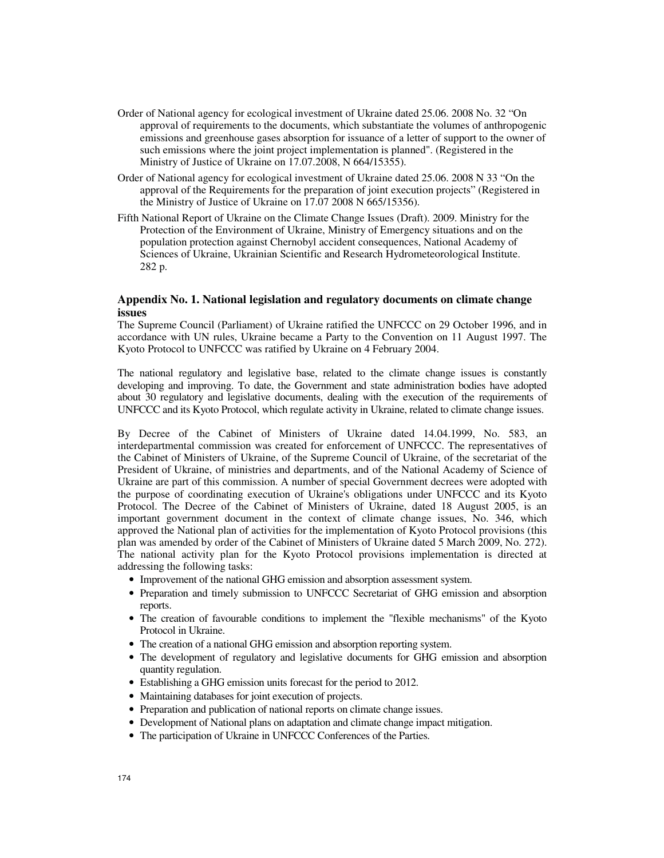- Order of National agency for ecological investment of Ukraine dated 25.06. 2008 No. 32 "On approval of requirements to the documents, which substantiate the volumes of anthropogenic emissions and greenhouse gases absorption for issuance of a letter of support to the owner of such emissions where the joint project implementation is planned". (Registered in the Ministry of Justice of Ukraine on 17.07.2008, N 664/15355).
- Order of National agency for ecological investment of Ukraine dated 25.06. 2008 N 33 "On the approval of the Requirements for the preparation of joint execution projects" (Registered in the Ministry of Justice of Ukraine on 17.07 2008 N 665/15356).
- Fifth National Report of Ukraine on the Climate Change Issues (Draft). 2009. Ministry for the Protection of the Environment of Ukraine, Ministry of Emergency situations and on the population protection against Chernobyl accident consequences, National Academy of Sciences of Ukraine, Ukrainian Scientific and Research Hydrometeorological Institute. 282 p.

### **Appendix No. 1. National legislation and regulatory documents on climate change issues**

The Supreme Council (Parliament) of Ukraine ratified the UNFCCC on 29 October 1996, and in accordance with UN rules, Ukraine became a Party to the Convention on 11 August 1997. The Kyoto Protocol to UNFCCC was ratified by Ukraine on 4 February 2004.

The national regulatory and legislative base, related to the climate change issues is constantly developing and improving. To date, the Government and state administration bodies have adopted about 30 regulatory and legislative documents, dealing with the execution of the requirements of UNFCCC and its Kyoto Protocol, which regulate activity in Ukraine, related to climate change issues.

By Decree of the Cabinet of Ministers of Ukraine dated 14.04.1999, No. 583, an interdepartmental commission was created for enforcement of UNFCCC. The representatives of the Cabinet of Ministers of Ukraine, of the Supreme Council of Ukraine, of the secretariat of the President of Ukraine, of ministries and departments, and of the National Academy of Science of Ukraine are part of this commission. A number of special Government decrees were adopted with the purpose of coordinating execution of Ukraine's obligations under UNFCCC and its Kyoto Protocol. The Decree of the Cabinet of Ministers of Ukraine, dated 18 August 2005, is an important government document in the context of climate change issues, No. 346, which approved the National plan of activities for the implementation of Kyoto Protocol provisions (this plan was amended by order of the Cabinet of Ministers of Ukraine dated 5 March 2009, No. 272). The national activity plan for the Kyoto Protocol provisions implementation is directed at addressing the following tasks:

- Improvement of the national GHG emission and absorption assessment system.
- Preparation and timely submission to UNFCCC Secretariat of GHG emission and absorption reports.
- The creation of favourable conditions to implement the "flexible mechanisms" of the Kyoto Protocol in Ukraine.
- The creation of a national GHG emission and absorption reporting system.
- The development of regulatory and legislative documents for GHG emission and absorption quantity regulation.
- Establishing a GHG emission units forecast for the period to 2012.
- Maintaining databases for joint execution of projects.
- Preparation and publication of national reports on climate change issues.
- Development of National plans on adaptation and climate change impact mitigation.
- The participation of Ukraine in UNFCCC Conferences of the Parties.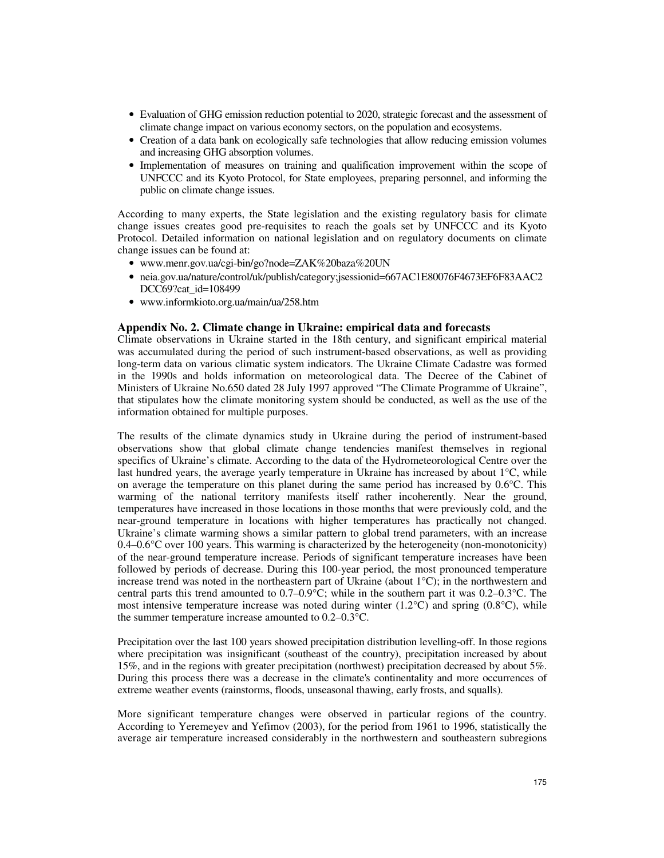- Evaluation of GHG emission reduction potential to 2020, strategic forecast and the assessment of climate change impact on various economy sectors, on the population and ecosystems.
- Creation of a data bank on ecologically safe technologies that allow reducing emission volumes and increasing GHG absorption volumes.
- Implementation of measures on training and qualification improvement within the scope of UNFCCC and its Kyoto Protocol, for State employees, preparing personnel, and informing the public on climate change issues.

According to many experts, the State legislation and the existing regulatory basis for climate change issues creates good pre-requisites to reach the goals set by UNFCCC and its Kyoto Protocol. Detailed information on national legislation and on regulatory documents on climate change issues can be found at:

- www.menr.gov.ua/cgi-bin/go?node=ZAK%20baza%20UN
- neia.gov.ua/nature/control/uk/publish/category;jsessionid=667AC1E80076F4673EF6F83AAC2 DCC69?cat\_id=108499
- www.informkioto.org.ua/main/ua/258.htm

#### **Appendix No. 2. Climate change in Ukraine: empirical data and forecasts**

Climate observations in Ukraine started in the 18th century, and significant empirical material was accumulated during the period of such instrument-based observations, as well as providing long-term data on various climatic system indicators. The Ukraine Climate Cadastre was formed in the 1990s and holds information on meteorological data. The Decree of the Cabinet of Ministers of Ukraine No.650 dated 28 July 1997 approved "The Climate Programme of Ukraine", that stipulates how the climate monitoring system should be conducted, as well as the use of the information obtained for multiple purposes.

The results of the climate dynamics study in Ukraine during the period of instrument-based observations show that global climate change tendencies manifest themselves in regional specifics of Ukraine's climate. According to the data of the Hydrometeorological Centre over the last hundred years, the average yearly temperature in Ukraine has increased by about 1°C, while on average the temperature on this planet during the same period has increased by 0.6°C. This warming of the national territory manifests itself rather incoherently. Near the ground, temperatures have increased in those locations in those months that were previously cold, and the near-ground temperature in locations with higher temperatures has practically not changed. Ukraine's climate warming shows a similar pattern to global trend parameters, with an increase 0.4–0.6°C over 100 years. This warming is characterized by the heterogeneity (non-monotonicity) of the near-ground temperature increase. Periods of significant temperature increases have been followed by periods of decrease. During this 100-year period, the most pronounced temperature increase trend was noted in the northeastern part of Ukraine (about 1°C); in the northwestern and central parts this trend amounted to  $0.7-0.9\degree C$ ; while in the southern part it was  $0.2-0.3\degree C$ . The most intensive temperature increase was noted during winter  $(1.2^{\circ}C)$  and spring  $(0.8^{\circ}C)$ , while the summer temperature increase amounted to 0.2–0.3°C.

Precipitation over the last 100 years showed precipitation distribution levelling-off. In those regions where precipitation was insignificant (southeast of the country), precipitation increased by about 15%, and in the regions with greater precipitation (northwest) precipitation decreased by about 5%. During this process there was a decrease in the climate's continentality and more occurrences of extreme weather events (rainstorms, floods, unseasonal thawing, early frosts, and squalls).

More significant temperature changes were observed in particular regions of the country. According to Yeremeyev and Yefimov (2003), for the period from 1961 to 1996, statistically the average air temperature increased considerably in the northwestern and southeastern subregions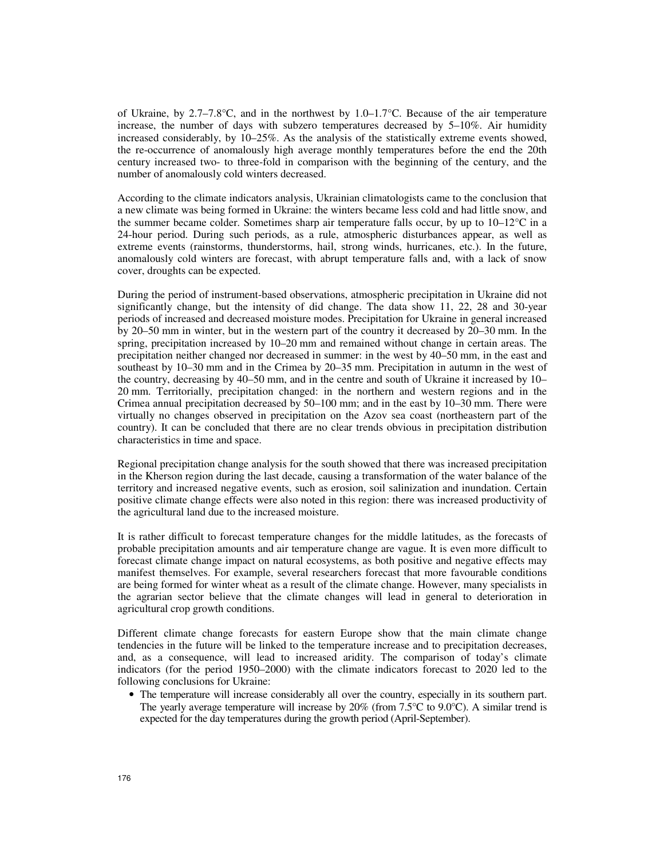of Ukraine, by 2.7–7.8°C, and in the northwest by 1.0–1.7°C. Because of the air temperature increase, the number of days with subzero temperatures decreased by 5–10%. Air humidity increased considerably, by 10–25%. As the analysis of the statistically extreme events showed, the re-occurrence of anomalously high average monthly temperatures before the end the 20th century increased two- to three-fold in comparison with the beginning of the century, and the number of anomalously cold winters decreased.

According to the climate indicators analysis, Ukrainian climatologists came to the conclusion that a new climate was being formed in Ukraine: the winters became less cold and had little snow, and the summer became colder. Sometimes sharp air temperature falls occur, by up to  $10-12^{\circ}\text{C}$  in a 24-hour period. During such periods, as a rule, atmospheric disturbances appear, as well as extreme events (rainstorms, thunderstorms, hail, strong winds, hurricanes, etc.). In the future, anomalously cold winters are forecast, with abrupt temperature falls and, with a lack of snow cover, droughts can be expected.

During the period of instrument-based observations, atmospheric precipitation in Ukraine did not significantly change, but the intensity of did change. The data show 11, 22, 28 and 30-year periods of increased and decreased moisture modes. Precipitation for Ukraine in general increased by 20–50 mm in winter, but in the western part of the country it decreased by 20–30 mm. In the spring, precipitation increased by 10–20 mm and remained without change in certain areas. The precipitation neither changed nor decreased in summer: in the west by 40–50 mm, in the east and southeast by 10–30 mm and in the Crimea by 20–35 mm. Precipitation in autumn in the west of the country, decreasing by 40–50 mm, and in the centre and south of Ukraine it increased by 10– 20 mm. Territorially, precipitation changed: in the northern and western regions and in the Crimea annual precipitation decreased by 50–100 mm; and in the east by 10–30 mm. There were virtually no changes observed in precipitation on the Azov sea coast (northeastern part of the country). It can be concluded that there are no clear trends obvious in precipitation distribution characteristics in time and space.

Regional precipitation change analysis for the south showed that there was increased precipitation in the Kherson region during the last decade, causing a transformation of the water balance of the territory and increased negative events, such as erosion, soil salinization and inundation. Certain positive climate change effects were also noted in this region: there was increased productivity of the agricultural land due to the increased moisture.

It is rather difficult to forecast temperature changes for the middle latitudes, as the forecasts of probable precipitation amounts and air temperature change are vague. It is even more difficult to forecast climate change impact on natural ecosystems, as both positive and negative effects may manifest themselves. For example, several researchers forecast that more favourable conditions are being formed for winter wheat as a result of the climate change. However, many specialists in the agrarian sector believe that the climate changes will lead in general to deterioration in agricultural crop growth conditions.

Different climate change forecasts for eastern Europe show that the main climate change tendencies in the future will be linked to the temperature increase and to precipitation decreases, and, as a consequence, will lead to increased aridity. The comparison of today's climate indicators (for the period 1950–2000) with the climate indicators forecast to 2020 led to the following conclusions for Ukraine:

• The temperature will increase considerably all over the country, especially in its southern part. The yearly average temperature will increase by 20% (from 7.5 $\degree$ C to 9.0 $\degree$ C). A similar trend is expected for the day temperatures during the growth period (April-September).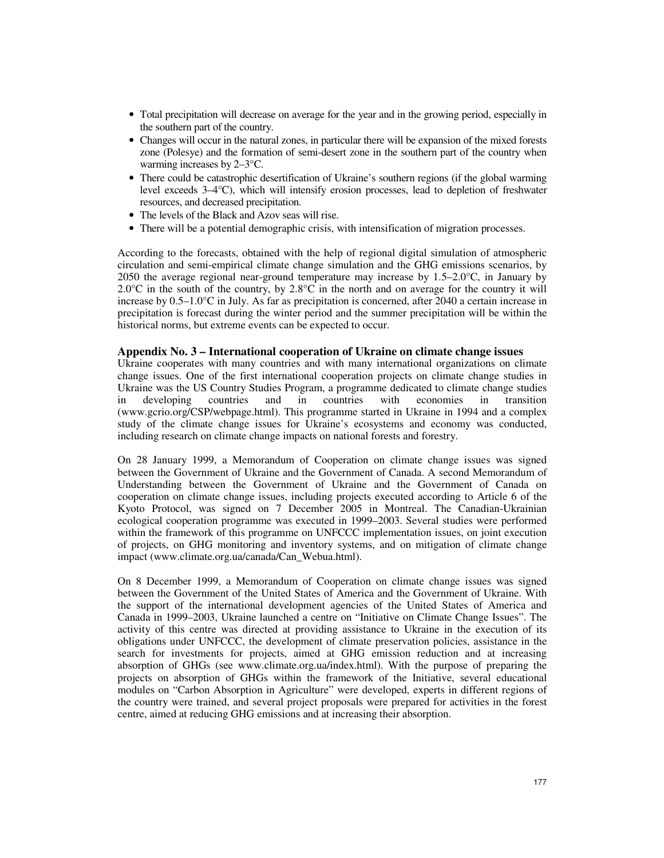- Total precipitation will decrease on average for the year and in the growing period, especially in the southern part of the country.
- Changes will occur in the natural zones, in particular there will be expansion of the mixed forests zone (Polesye) and the formation of semi-desert zone in the southern part of the country when warming increases by 2–3°C.
- There could be catastrophic desertification of Ukraine's southern regions (if the global warming level exceeds 3–4°C), which will intensify erosion processes, lead to depletion of freshwater resources, and decreased precipitation.
- The levels of the Black and Azov seas will rise.
- There will be a potential demographic crisis, with intensification of migration processes.

According to the forecasts, obtained with the help of regional digital simulation of atmospheric circulation and semi-empirical climate change simulation and the GHG emissions scenarios, by 2050 the average regional near-ground temperature may increase by  $1.5-2.0^{\circ}$ C, in January by  $2.0^{\circ}$ C in the south of the country, by  $2.8^{\circ}$ C in the north and on average for the country it will increase by 0.5–1.0°C in July. As far as precipitation is concerned, after 2040 a certain increase in precipitation is forecast during the winter period and the summer precipitation will be within the historical norms, but extreme events can be expected to occur.

### **Appendix No. 3 – International cooperation of Ukraine on climate change issues**

Ukraine cooperates with many countries and with many international organizations on climate change issues. One of the first international cooperation projects on climate change studies in Ukraine was the US Country Studies Program, a programme dedicated to climate change studies in developing countries and in countries with economies in transition (www.gcrio.org/CSP/webpage.html). This programme started in Ukraine in 1994 and a complex study of the climate change issues for Ukraine's ecosystems and economy was conducted, including research on climate change impacts on national forests and forestry.

On 28 January 1999, a Memorandum of Cooperation on climate change issues was signed between the Government of Ukraine and the Government of Canada. A second Memorandum of Understanding between the Government of Ukraine and the Government of Canada on cooperation on climate change issues, including projects executed according to Article 6 of the Kyoto Protocol, was signed on 7 December 2005 in Montreal. The Canadian-Ukrainian ecological cooperation programme was executed in 1999–2003. Several studies were performed within the framework of this programme on UNFCCC implementation issues, on joint execution of projects, on GHG monitoring and inventory systems, and on mitigation of climate change impact (www.climate.org.ua/canada/Can\_Webua.html).

On 8 December 1999, a Memorandum of Cooperation on climate change issues was signed between the Government of the United States of America and the Government of Ukraine. With the support of the international development agencies of the United States of America and Canada in 1999–2003, Ukraine launched a centre on "Initiative on Climate Change Issues". The activity of this centre was directed at providing assistance to Ukraine in the execution of its obligations under UNFCCC, the development of climate preservation policies, assistance in the search for investments for projects, aimed at GHG emission reduction and at increasing absorption of GHGs (see www.climate.org.ua/index.html). With the purpose of preparing the projects on absorption of GHGs within the framework of the Initiative, several educational modules on "Carbon Absorption in Agriculture" were developed, experts in different regions of the country were trained, and several project proposals were prepared for activities in the forest centre, aimed at reducing GHG emissions and at increasing their absorption.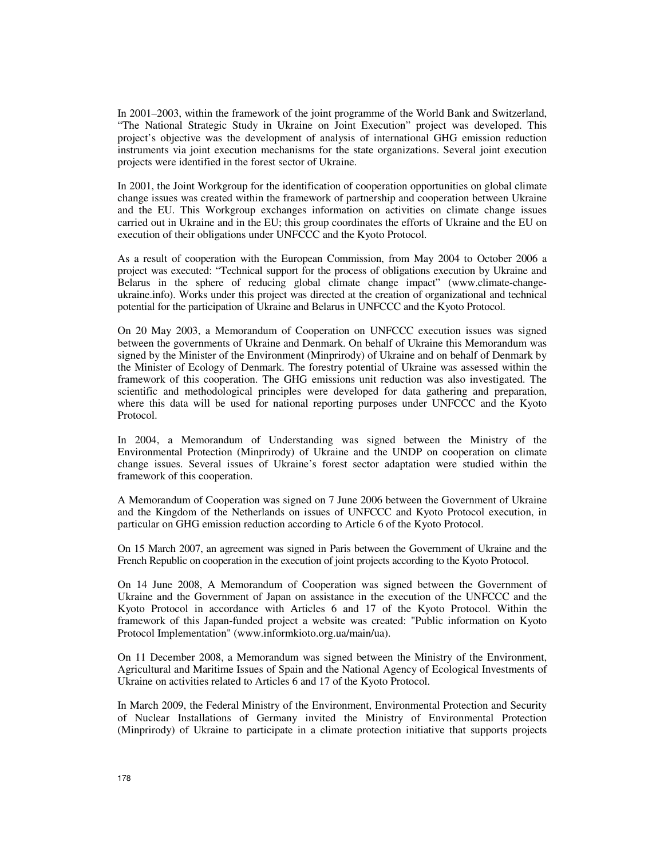In 2001–2003, within the framework of the joint programme of the World Bank and Switzerland, "The National Strategic Study in Ukraine on Joint Execution" project was developed. This project's objective was the development of analysis of international GHG emission reduction instruments via joint execution mechanisms for the state organizations. Several joint execution projects were identified in the forest sector of Ukraine.

In 2001, the Joint Workgroup for the identification of cooperation opportunities on global climate change issues was created within the framework of partnership and cooperation between Ukraine and the EU. This Workgroup exchanges information on activities on climate change issues carried out in Ukraine and in the EU; this group coordinates the efforts of Ukraine and the EU on execution of their obligations under UNFCCC and the Kyoto Protocol.

As a result of cooperation with the European Commission, from May 2004 to October 2006 a project was executed: "Technical support for the process of obligations execution by Ukraine and Belarus in the sphere of reducing global climate change impact" (www.climate-changeukraine.info). Works under this project was directed at the creation of organizational and technical potential for the participation of Ukraine and Belarus in UNFCCC and the Kyoto Protocol.

On 20 May 2003, a Memorandum of Cooperation on UNFCCC execution issues was signed between the governments of Ukraine and Denmark. On behalf of Ukraine this Memorandum was signed by the Minister of the Environment (Minprirody) of Ukraine and on behalf of Denmark by the Minister of Ecology of Denmark. The forestry potential of Ukraine was assessed within the framework of this cooperation. The GHG emissions unit reduction was also investigated. The scientific and methodological principles were developed for data gathering and preparation, where this data will be used for national reporting purposes under UNFCCC and the Kyoto Protocol.

In 2004, a Memorandum of Understanding was signed between the Ministry of the Environmental Protection (Minprirody) of Ukraine and the UNDP on cooperation on climate change issues. Several issues of Ukraine's forest sector adaptation were studied within the framework of this cooperation.

A Memorandum of Cooperation was signed on 7 June 2006 between the Government of Ukraine and the Kingdom of the Netherlands on issues of UNFCCC and Kyoto Protocol execution, in particular on GHG emission reduction according to Article 6 of the Kyoto Protocol.

On 15 March 2007, an agreement was signed in Paris between the Government of Ukraine and the French Republic on cooperation in the execution of joint projects according to the Kyoto Protocol.

On 14 June 2008, A Memorandum of Cooperation was signed between the Government of Ukraine and the Government of Japan on assistance in the execution of the UNFCCC and the Kyoto Protocol in accordance with Articles 6 and 17 of the Kyoto Protocol. Within the framework of this Japan-funded project a website was created: "Public information on Kyoto Protocol Implementation" (www.informkioto.org.ua/main/ua).

On 11 December 2008, a Memorandum was signed between the Ministry of the Environment, Agricultural and Maritime Issues of Spain and the National Agency of Ecological Investments of Ukraine on activities related to Articles 6 and 17 of the Kyoto Protocol.

In March 2009, the Federal Ministry of the Environment, Environmental Protection and Security of Nuclear Installations of Germany invited the Ministry of Environmental Protection (Minprirody) of Ukraine to participate in a climate protection initiative that supports projects